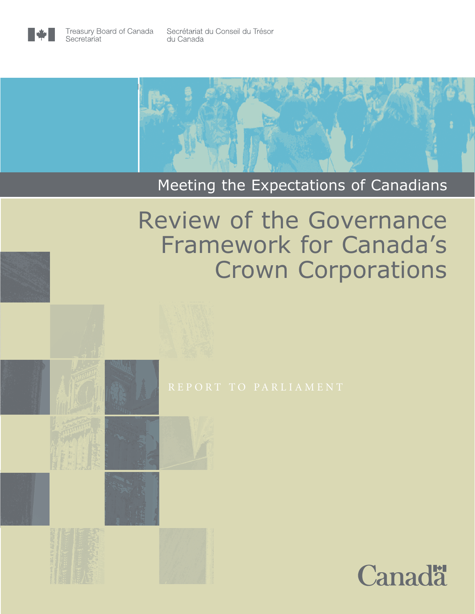



# Meeting the Expectations of Canadians

# Review of the Governance Framework for Canada's Crown Corporations



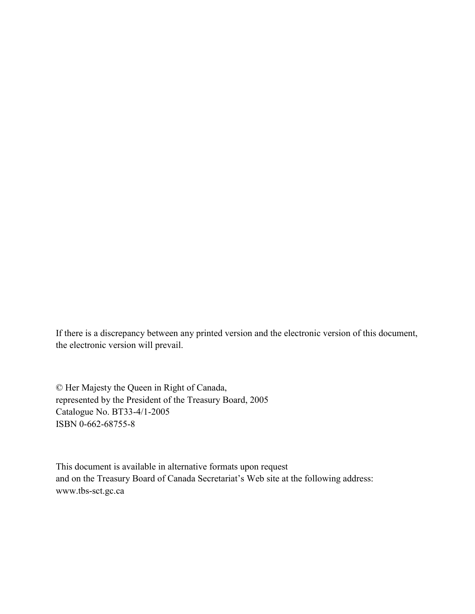If there is a discrepancy between any printed version and the electronic version of this document, the electronic version will prevail.

© Her Majesty the Queen in Right of Canada, represented by the President of the Treasury Board, 2005 Catalogue No. BT33-4/1-2005 ISBN 0-662-68755-8

This document is available in alternative formats upon request and on the Treasury Board of Canada Secretariat's Web site at the following address: [www.tbs-sct.gc.ca](http://www.tbs-sct.gc.ca/)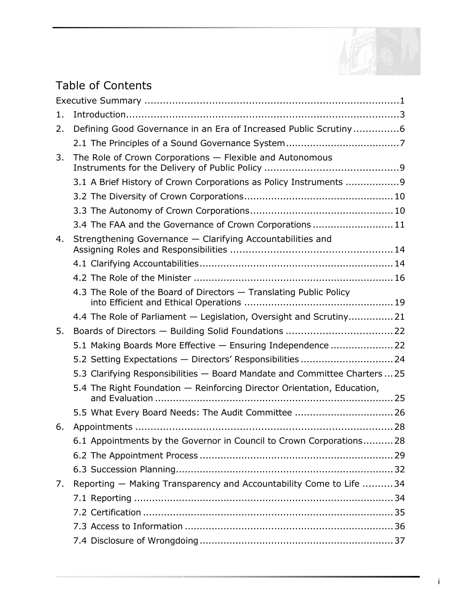

# Table of Contents

| 1. |                                                                            |
|----|----------------------------------------------------------------------------|
| 2. | Defining Good Governance in an Era of Increased Public Scrutiny6           |
|    |                                                                            |
| 3. | The Role of Crown Corporations - Flexible and Autonomous                   |
|    | 3.1 A Brief History of Crown Corporations as Policy Instruments  9         |
|    |                                                                            |
|    |                                                                            |
|    | 3.4 The FAA and the Governance of Crown Corporations  11                   |
| 4. | Strengthening Governance - Clarifying Accountabilities and                 |
|    |                                                                            |
|    |                                                                            |
|    | 4.3 The Role of the Board of Directors - Translating Public Policy         |
|    | 4.4 The Role of Parliament - Legislation, Oversight and Scrutiny21         |
| 5. |                                                                            |
|    | 5.1 Making Boards More Effective - Ensuring Independence  22               |
|    | 5.2 Setting Expectations - Directors' Responsibilities  24                 |
|    | 5.3 Clarifying Responsibilities - Board Mandate and Committee Charters  25 |
|    | 5.4 The Right Foundation - Reinforcing Director Orientation, Education,    |
|    | 5.5 What Every Board Needs: The Audit Committee  26                        |
| 6. |                                                                            |
|    | 6.1 Appointments by the Governor in Council to Crown Corporations 28       |
|    |                                                                            |
|    |                                                                            |
| 7. | Reporting - Making Transparency and Accountability Come to Life  34        |
|    |                                                                            |
|    |                                                                            |
|    |                                                                            |
|    |                                                                            |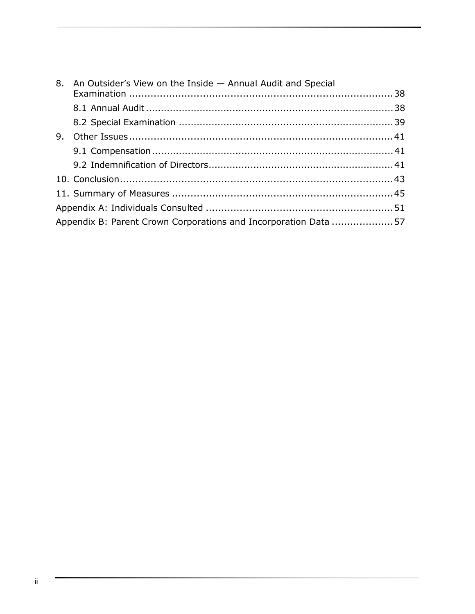|    | 8. An Outsider's View on the Inside - Annual Audit and Special  |  |  |
|----|-----------------------------------------------------------------|--|--|
|    |                                                                 |  |  |
|    |                                                                 |  |  |
| 9. |                                                                 |  |  |
|    |                                                                 |  |  |
|    |                                                                 |  |  |
|    |                                                                 |  |  |
|    |                                                                 |  |  |
|    |                                                                 |  |  |
|    | Appendix B: Parent Crown Corporations and Incorporation Data 57 |  |  |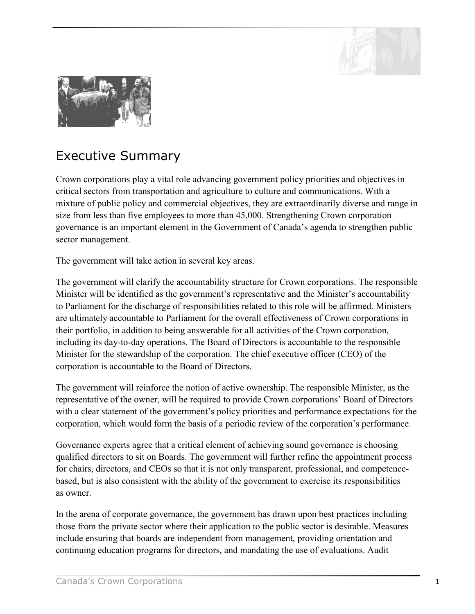

<span id="page-4-0"></span>

# Executive Summary

Crown corporations play a vital role advancing government policy priorities and objectives in critical sectors from transportation and agriculture to culture and communications. With a mixture of public policy and commercial objectives, they are extraordinarily diverse and range in size from less than five employees to more than 45,000. Strengthening Crown corporation governance is an important element in the Government of Canada's agenda to strengthen public sector management.

The government will take action in several key areas.

The government will clarify the accountability structure for Crown corporations. The responsible Minister will be identified as the government's representative and the Minister's accountability to Parliament for the discharge of responsibilities related to this role will be affirmed. Ministers are ultimately accountable to Parliament for the overall effectiveness of Crown corporations in their portfolio, in addition to being answerable for all activities of the Crown corporation, including its day-to-day operations. The Board of Directors is accountable to the responsible Minister for the stewardship of the corporation. The chief executive officer (CEO) of the corporation is accountable to the Board of Directors.

The government will reinforce the notion of active ownership. The responsible Minister, as the representative of the owner, will be required to provide Crown corporations' Board of Directors with a clear statement of the government's policy priorities and performance expectations for the corporation, which would form the basis of a periodic review of the corporation's performance.

Governance experts agree that a critical element of achieving sound governance is choosing qualified directors to sit on Boards. The government will further refine the appointment process for chairs, directors, and CEOs so that it is not only transparent, professional, and competencebased, but is also consistent with the ability of the government to exercise its responsibilities as owner.

In the arena of corporate governance, the government has drawn upon best practices including those from the private sector where their application to the public sector is desirable. Measures include ensuring that boards are independent from management, providing orientation and continuing education programs for directors, and mandating the use of evaluations. Audit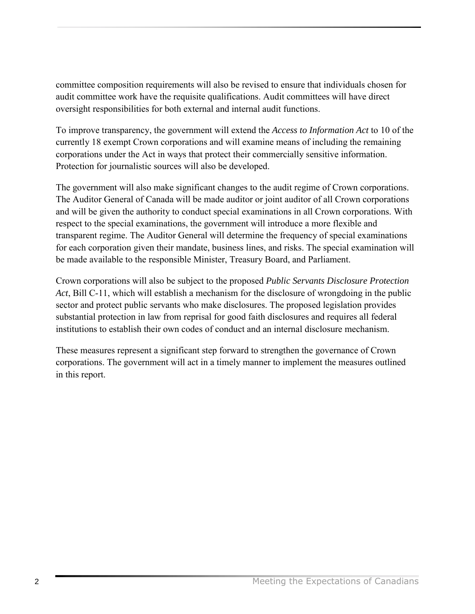committee composition requirements will also be revised to ensure that individuals chosen for audit committee work have the requisite qualifications. Audit committees will have direct oversight responsibilities for both external and internal audit functions.

To improve transparency, the government will extend the *Access to Information Act* to 10 of the currently 18 exempt Crown corporations and will examine means of including the remaining corporations under the Act in ways that protect their commercially sensitive information. Protection for journalistic sources will also be developed.

The government will also make significant changes to the audit regime of Crown corporations. The Auditor General of Canada will be made auditor or joint auditor of all Crown corporations and will be given the authority to conduct special examinations in all Crown corporations. With respect to the special examinations, the government will introduce a more flexible and transparent regime. The Auditor General will determine the frequency of special examinations for each corporation given their mandate, business lines, and risks. The special examination will be made available to the responsible Minister, Treasury Board, and Parliament.

Crown corporations will also be subject to the proposed *Public Servants Disclosure Protection Act*, Bill C-11, which will establish a mechanism for the disclosure of wrongdoing in the public sector and protect public servants who make disclosures. The proposed legislation provides substantial protection in law from reprisal for good faith disclosures and requires all federal institutions to establish their own codes of conduct and an internal disclosure mechanism.

These measures represent a significant step forward to strengthen the governance of Crown corporations. The government will act in a timely manner to implement the measures outlined in this report.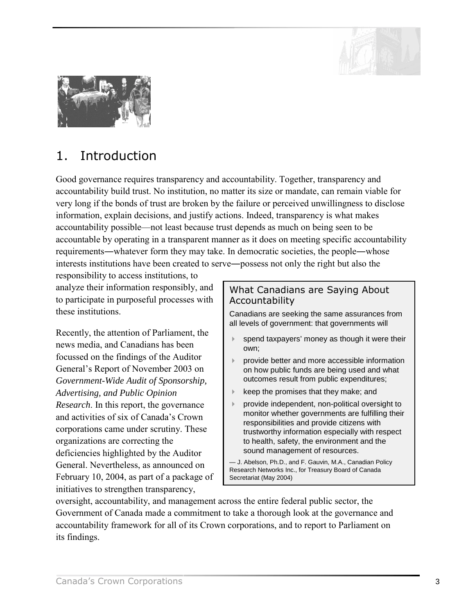

<span id="page-6-0"></span>

# 1. Introduction

Good governance requires transparency and accountability. Together, transparency and accountability build trust. No institution, no matter its size or mandate, can remain viable for very long if the bonds of trust are broken by the failure or perceived unwillingness to disclose information, explain decisions, and justify actions. Indeed, transparency is what makes accountability possible—not least because trust depends as much on being seen to be accountable by operating in a transparent manner as it does on meeting specific accountability requirements―whatever form they may take. In democratic societies, the people―whose interests institutions have been created to serve―possess not only the right but also the

responsibility to access institutions, to analyze their information responsibly, and to participate in purposeful processes with these institutions.

Recently, the attention of Parliament, the news media, and Canadians has been focussed on the findings of the Auditor General's Report of November 2003 on *Government-Wide Audit of Sponsorship, Advertising, and Public Opinion Research*. In this report, the governance and activities of six of Canada's Crown corporations came under scrutiny. These organizations are correcting the deficiencies highlighted by the Auditor General. Nevertheless, as announced on February 10, 2004, as part of a package of initiatives to strengthen transparency,

# What Canadians are Saying About Accountability

Canadians are seeking the same assurances from all levels of government: that governments will

- spend taxpayers' money as though it were their own;
- ! provide better and more accessible information on how public funds are being used and what outcomes result from public expenditures;
- keep the promises that they make; and
- provide independent, non-political oversight to monitor whether governments are fulfilling their responsibilities and provide citizens with trustworthy information especially with respect to health, safety, the environment and the sound management of resources.

— J. Abelson, Ph.D., and F. Gauvin, M.A., Canadian Policy Research Networks Inc., for Treasury Board of Canada Secretariat (May 2004)

oversight, accountability, and management across the entire federal public sector, the Government of Canada made a commitment to take a thorough look at the governance and accountability framework for all of its Crown corporations, and to report to Parliament on its findings.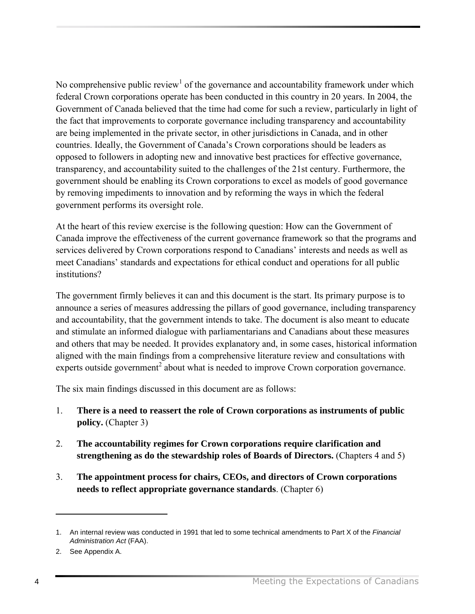No comprehensive public review<sup>1</sup> of the governance and accountability framework under which federal Crown corporations operate has been conducted in this country in 20 years. In 2004, the Government of Canada believed that the time had come for such a review, particularly in light of the fact that improvements to corporate governance including transparency and accountability are being implemented in the private sector, in other jurisdictions in Canada, and in other countries. Ideally, the Government of Canada's Crown corporations should be leaders as opposed to followers in adopting new and innovative best practices for effective governance, transparency, and accountability suited to the challenges of the 21st century. Furthermore, the government should be enabling its Crown corporations to excel as models of good governance by removing impediments to innovation and by reforming the ways in which the federal government performs its oversight role.

At the heart of this review exercise is the following question: How can the Government of Canada improve the effectiveness of the current governance framework so that the programs and services delivered by Crown corporations respond to Canadians' interests and needs as well as meet Canadians' standards and expectations for ethical conduct and operations for all public institutions?

The government firmly believes it can and this document is the start. Its primary purpose is to announce a series of measures addressing the pillars of good governance, including transparency and accountability, that the government intends to take. The document is also meant to educate and stimulate an informed dialogue with parliamentarians and Canadians about these measures and others that may be needed. It provides explanatory and, in some cases, historical information aligned with the main findings from a comprehensive literature review and consultations with experts outside government<sup>2</sup> about what is needed to improve Crown corporation governance.

The six main findings discussed in this document are as follows:

- 1. **There is a need to reassert the role of Crown corporations as instruments of public policy.** (Chapter 3)
- 2. **The accountability regimes for Crown corporations require clarification and strengthening as do the stewardship roles of Boards of Directors.** (Chapters 4 and 5)
- 3. **The appointment process for chairs, CEOs, and directors of Crown corporations needs to reflect appropriate governance standards**. (Chapter 6)

<sup>1.</sup> An internal review was conducted in 1991 that led to some technical amendments to Part X of the *Financial Administration Act* (FAA).

<sup>2.</sup> See Appendix A.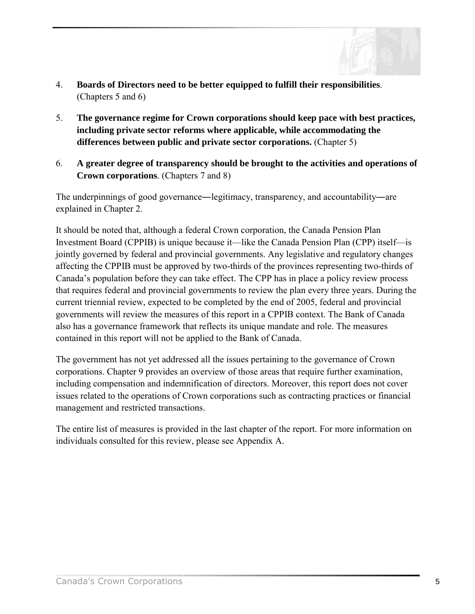

- 4. **Boards of Directors need to be better equipped to fulfill their responsibilities**. (Chapters 5 and 6)
- 5. **The governance regime for Crown corporations should keep pace with best practices, including private sector reforms where applicable, while accommodating the differences between public and private sector corporations.** (Chapter 5)
- 6. **A greater degree of transparency should be brought to the activities and operations of Crown corporations**. (Chapters 7 and 8)

The underpinnings of good governance―legitimacy, transparency, and accountability―are explained in Chapter 2.

It should be noted that, although a federal Crown corporation, the Canada Pension Plan Investment Board (CPPIB) is unique because it—like the Canada Pension Plan (CPP) itself—is jointly governed by federal and provincial governments. Any legislative and regulatory changes affecting the CPPIB must be approved by two-thirds of the provinces representing two-thirds of Canada's population before they can take effect. The CPP has in place a policy review process that requires federal and provincial governments to review the plan every three years. During the current triennial review, expected to be completed by the end of 2005, federal and provincial governments will review the measures of this report in a CPPIB context. The Bank of Canada also has a governance framework that reflects its unique mandate and role. The measures contained in this report will not be applied to the Bank of Canada.

The government has not yet addressed all the issues pertaining to the governance of Crown corporations. Chapter 9 provides an overview of those areas that require further examination, including compensation and indemnification of directors. Moreover, this report does not cover issues related to the operations of Crown corporations such as contracting practices or financial management and restricted transactions.

The entire list of measures is provided in the last chapter of the report. For more information on individuals consulted for this review, please see Appendix A.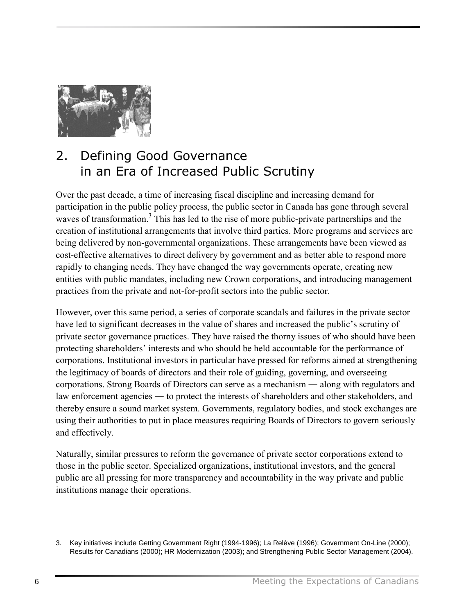<span id="page-9-0"></span>

# 2. Defining Good Governance in an Era of Increased Public Scrutiny

Over the past decade, a time of increasing fiscal discipline and increasing demand for participation in the public policy process, the public sector in Canada has gone through several waves of transformation.<sup>3</sup> This has led to the rise of more public-private partnerships and the creation of institutional arrangements that involve third parties. More programs and services are being delivered by non-governmental organizations. These arrangements have been viewed as cost-effective alternatives to direct delivery by government and as better able to respond more rapidly to changing needs. They have changed the way governments operate, creating new entities with public mandates, including new Crown corporations, and introducing management practices from the private and not-for-profit sectors into the public sector.

However, over this same period, a series of corporate scandals and failures in the private sector have led to significant decreases in the value of shares and increased the public's scrutiny of private sector governance practices. They have raised the thorny issues of who should have been protecting shareholders' interests and who should be held accountable for the performance of corporations. Institutional investors in particular have pressed for reforms aimed at strengthening the legitimacy of boards of directors and their role of guiding, governing, and overseeing corporations. Strong Boards of Directors can serve as a mechanism ― along with regulators and law enforcement agencies ― to protect the interests of shareholders and other stakeholders, and thereby ensure a sound market system. Governments, regulatory bodies, and stock exchanges are using their authorities to put in place measures requiring Boards of Directors to govern seriously and effectively.

Naturally, similar pressures to reform the governance of private sector corporations extend to those in the public sector. Specialized organizations, institutional investors, and the general public are all pressing for more transparency and accountability in the way private and public institutions manage their operations.

1

<sup>3.</sup> Key initiatives include Getting Government Right (1994-1996); La Relève (1996); Government On-Line (2000); Results for Canadians (2000); HR Modernization (2003); and Strengthening Public Sector Management (2004).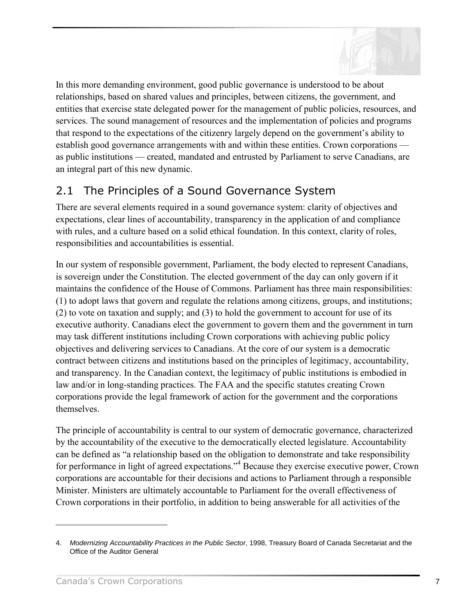

<span id="page-10-0"></span>In this more demanding environment, good public governance is understood to be about relationships, based on shared values and principles, between citizens, the government, and entities that exercise state delegated power for the management of public policies, resources, and services. The sound management of resources and the implementation of policies and programs that respond to the expectations of the citizenry largely depend on the government's ability to establish good governance arrangements with and within these entities. Crown corporations as public institutions — created, mandated and entrusted by Parliament to serve Canadians, are an integral part of this new dynamic.

# 2.1 The Principles of a Sound Governance System

There are several elements required in a sound governance system: clarity of objectives and expectations, clear lines of accountability, transparency in the application of and compliance with rules, and a culture based on a solid ethical foundation. In this context, clarity of roles, responsibilities and accountabilities is essential.

In our system of responsible government, Parliament, the body elected to represent Canadians, is sovereign under the Constitution. The elected government of the day can only govern if it maintains the confidence of the House of Commons. Parliament has three main responsibilities: (1) to adopt laws that govern and regulate the relations among citizens, groups, and institutions; (2) to vote on taxation and supply; and (3) to hold the government to account for use of its executive authority. Canadians elect the government to govern them and the government in turn may task different institutions including Crown corporations with achieving public policy objectives and delivering services to Canadians. At the core of our system is a democratic contract between citizens and institutions based on the principles of legitimacy, accountability, and transparency. In the Canadian context, the legitimacy of public institutions is embodied in law and/or in long-standing practices. The FAA and the specific statutes creating Crown corporations provide the legal framework of action for the government and the corporations themselves.

The principle of accountability is central to our system of democratic governance, characterized by the accountability of the executive to the democratically elected legislature. Accountability can be defined as "a relationship based on the obligation to demonstrate and take responsibility for performance in light of agreed expectations."<sup>4</sup> Because they exercise executive power, Crown corporations are accountable for their decisions and actions to Parliament through a responsible Minister. Ministers are ultimately accountable to Parliament for the overall effectiveness of Crown corporations in their portfolio, in addition to being answerable for all activities of the

<sup>4.</sup> *Modernizing Accountability Practices in the Public Sector*, 1998, Treasury Board of Canada Secretariat and the Office of the Auditor General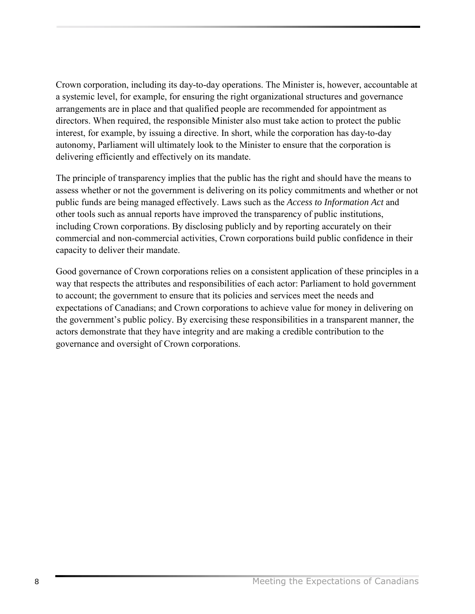Crown corporation, including its day-to-day operations. The Minister is, however, accountable at a systemic level, for example, for ensuring the right organizational structures and governance arrangements are in place and that qualified people are recommended for appointment as directors. When required, the responsible Minister also must take action to protect the public interest, for example, by issuing a directive. In short, while the corporation has day-to-day autonomy, Parliament will ultimately look to the Minister to ensure that the corporation is delivering efficiently and effectively on its mandate.

The principle of transparency implies that the public has the right and should have the means to assess whether or not the government is delivering on its policy commitments and whether or not public funds are being managed effectively. Laws such as the *Access to Information Act* and other tools such as annual reports have improved the transparency of public institutions, including Crown corporations. By disclosing publicly and by reporting accurately on their commercial and non-commercial activities, Crown corporations build public confidence in their capacity to deliver their mandate.

Good governance of Crown corporations relies on a consistent application of these principles in a way that respects the attributes and responsibilities of each actor: Parliament to hold government to account; the government to ensure that its policies and services meet the needs and expectations of Canadians; and Crown corporations to achieve value for money in delivering on the government's public policy. By exercising these responsibilities in a transparent manner, the actors demonstrate that they have integrity and are making a credible contribution to the governance and oversight of Crown corporations.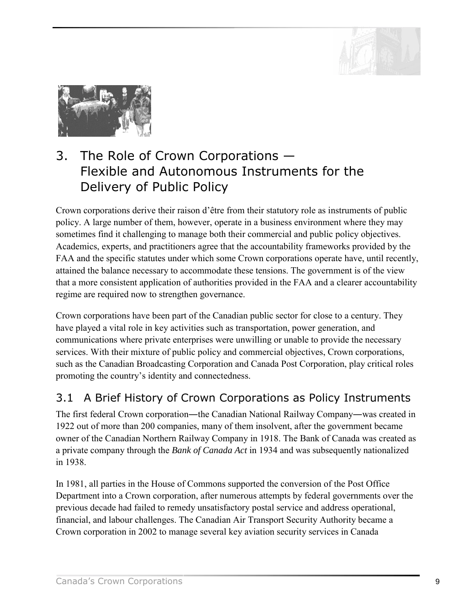

<span id="page-12-0"></span>

# 3. The Role of Crown Corporations  $-$ Flexible and Autonomous Instruments for the Delivery of Public Policy

Crown corporations derive their raison d'être from their statutory role as instruments of public policy. A large number of them, however, operate in a business environment where they may sometimes find it challenging to manage both their commercial and public policy objectives. Academics, experts, and practitioners agree that the accountability frameworks provided by the FAA and the specific statutes under which some Crown corporations operate have, until recently, attained the balance necessary to accommodate these tensions. The government is of the view that a more consistent application of authorities provided in the FAA and a clearer accountability regime are required now to strengthen governance.

Crown corporations have been part of the Canadian public sector for close to a century. They have played a vital role in key activities such as transportation, power generation, and communications where private enterprises were unwilling or unable to provide the necessary services. With their mixture of public policy and commercial objectives, Crown corporations, such as the Canadian Broadcasting Corporation and Canada Post Corporation, play critical roles promoting the country's identity and connectedness.

# 3.1 A Brief History of Crown Corporations as Policy Instruments

The first federal Crown corporation—the Canadian National Railway Company—was created in 1922 out of more than 200 companies, many of them insolvent, after the government became owner of the Canadian Northern Railway Company in 1918. The Bank of Canada was created as a private company through the *Bank of Canada Act* in 1934 and was subsequently nationalized in 1938.

In 1981, all parties in the House of Commons supported the conversion of the Post Office Department into a Crown corporation, after numerous attempts by federal governments over the previous decade had failed to remedy unsatisfactory postal service and address operational, financial, and labour challenges. The Canadian Air Transport Security Authority became a Crown corporation in 2002 to manage several key aviation security services in Canada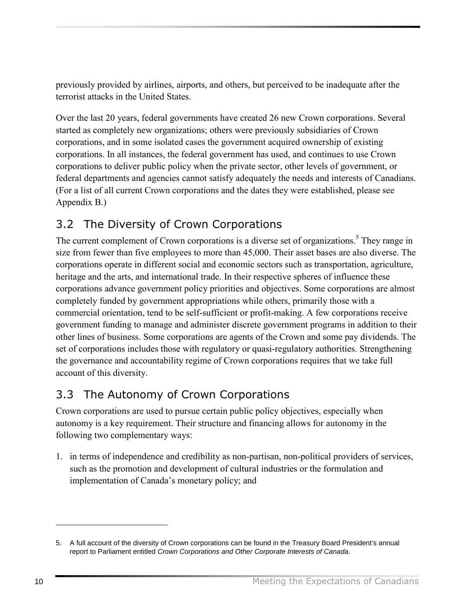<span id="page-13-0"></span>previously provided by airlines, airports, and others, but perceived to be inadequate after the terrorist attacks in the United States.

Over the last 20 years, federal governments have created 26 new Crown corporations. Several started as completely new organizations; others were previously subsidiaries of Crown corporations, and in some isolated cases the government acquired ownership of existing corporations. In all instances, the federal government has used, and continues to use Crown corporations to deliver public policy when the private sector, other levels of government, or federal departments and agencies cannot satisfy adequately the needs and interests of Canadians. (For a list of all current Crown corporations and the dates they were established, please see Appendix B.)

# 3.2 The Diversity of Crown Corporations

The current complement of Crown corporations is a diverse set of organizations.<sup>5</sup> They range in size from fewer than five employees to more than 45,000. Their asset bases are also diverse. The corporations operate in different social and economic sectors such as transportation, agriculture, heritage and the arts, and international trade. In their respective spheres of influence these corporations advance government policy priorities and objectives. Some corporations are almost completely funded by government appropriations while others, primarily those with a commercial orientation, tend to be self-sufficient or profit-making. A few corporations receive government funding to manage and administer discrete government programs in addition to their other lines of business. Some corporations are agents of the Crown and some pay dividends. The set of corporations includes those with regulatory or quasi-regulatory authorities. Strengthening the governance and accountability regime of Crown corporations requires that we take full account of this diversity.

# 3.3 The Autonomy of Crown Corporations

Crown corporations are used to pursue certain public policy objectives, especially when autonomy is a key requirement. Their structure and financing allows for autonomy in the following two complementary ways:

1. in terms of independence and credibility as non-partisan, non-political providers of services, such as the promotion and development of cultural industries or the formulation and implementation of Canada's monetary policy; and

<sup>5.</sup> A full account of the diversity of Crown corporations can be found in the Treasury Board President's annual report to Parliament entitled *Crown Corporations and Other Corporate Interests of Canada.*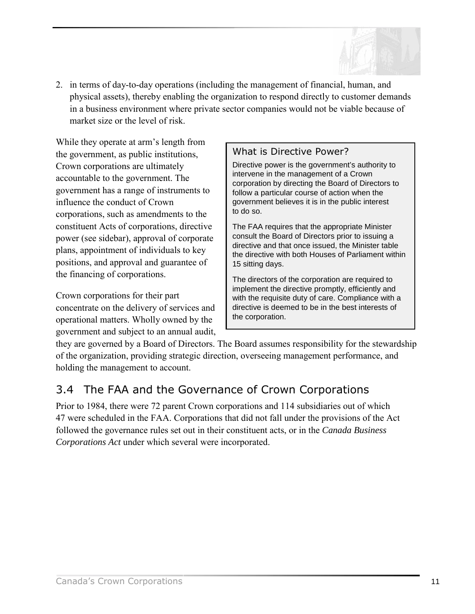

<span id="page-14-0"></span>2. in terms of day-to-day operations (including the management of financial, human, and physical assets), thereby enabling the organization to respond directly to customer demands in a business environment where private sector companies would not be viable because of market size or the level of risk.

While they operate at arm's length from the government, as public institutions, Crown corporations are ultimately accountable to the government. The government has a range of instruments to influence the conduct of Crown corporations, such as amendments to the constituent Acts of corporations, directive power (see sidebar), approval of corporate plans, appointment of individuals to key positions, and approval and guarantee of the financing of corporations.

Crown corporations for their part concentrate on the delivery of services and operational matters. Wholly owned by the government and subject to an annual audit,

# What is Directive Power?

Directive power is the government's authority to intervene in the management of a Crown corporation by directing the Board of Directors to follow a particular course of action when the government believes it is in the public interest to do so.

The FAA requires that the appropriate Minister consult the Board of Directors prior to issuing a directive and that once issued, the Minister table the directive with both Houses of Parliament within 15 sitting days.

The directors of the corporation are required to implement the directive promptly, efficiently and with the requisite duty of care. Compliance with a directive is deemed to be in the best interests of the corporation.

they are governed by a Board of Directors. The Board assumes responsibility for the stewardship of the organization, providing strategic direction, overseeing management performance, and holding the management to account.

# 3.4 The FAA and the Governance of Crown Corporations

Prior to 1984, there were 72 parent Crown corporations and 114 subsidiaries out of which 47 were scheduled in the FAA. Corporations that did not fall under the provisions of the Act followed the governance rules set out in their constituent acts, or in the *Canada Business Corporations Act* under which several were incorporated.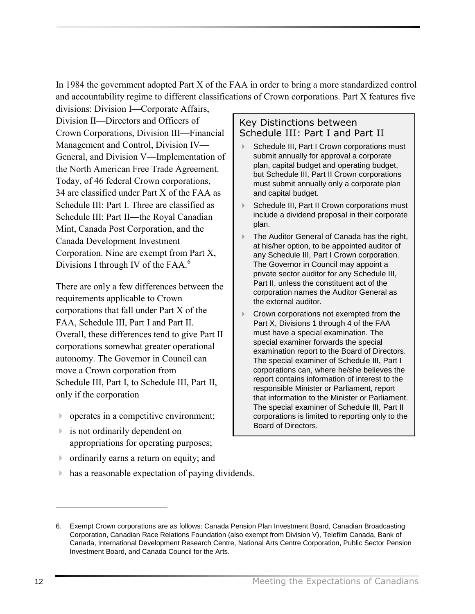In 1984 the government adopted Part X of the FAA in order to bring a more standardized control and accountability regime to different classifications of Crown corporations. Part X features five divisions: Division I—Corporate Affairs,

Division II—Directors and Officers of Crown Corporations, Division III—Financial Management and Control, Division IV— General, and Division V—Implementation of the North American Free Trade Agreement. Today, of 46 federal Crown corporations, 34 are classified under Part X of the FAA as Schedule III: Part I. Three are classified as Schedule III: Part II—the Royal Canadian Mint, Canada Post Corporation, and the Canada Development Investment Corporation. Nine are exempt from Part X, Divisions I through IV of the FAA. $^6$ 

There are only a few differences between the requirements applicable to Crown corporations that fall under Part X of the FAA, Schedule III, Part I and Part II. Overall, these differences tend to give Part II corporations somewhat greater operational autonomy. The Governor in Council can move a Crown corporation from Schedule III, Part I, to Schedule III, Part II, only if the corporation

- ! operates in a competitive environment;
- **Exercise** is not ordinarily dependent on appropriations for operating purposes;
- ! ordinarily earns a return on equity; and
- ! has a reasonable expectation of paying dividends.

# Key Distinctions between Schedule III: Part I and Part II

- Schedule III, Part I Crown corporations must submit annually for approval a corporate plan, capital budget and operating budget, but Schedule III, Part II Crown corporations must submit annually only a corporate plan and capital budget.
- Schedule III, Part II Crown corporations must include a dividend proposal in their corporate plan.
- ▶ The Auditor General of Canada has the right, at his/her option, to be appointed auditor of any Schedule III, Part I Crown corporation. The Governor in Council may appoint a private sector auditor for any Schedule III, Part II, unless the constituent act of the corporation names the Auditor General as the external auditor.
- ! Crown corporations not exempted from the Part X, Divisions 1 through 4 of the FAA must have a special examination. The special examiner forwards the special examination report to the Board of Directors. The special examiner of Schedule III, Part I corporations can, where he/she believes the report contains information of interest to the responsible Minister or Parliament, report that information to the Minister or Parliament. The special examiner of Schedule III, Part II corporations is limited to reporting only to the Board of Directors.

<sup>6.</sup> Exempt Crown corporations are as follows: Canada Pension Plan Investment Board, Canadian Broadcasting Corporation, Canadian Race Relations Foundation (also exempt from Division V), Telefilm Canada, Bank of Canada, International Development Research Centre, National Arts Centre Corporation, Public Sector Pension Investment Board, and Canada Council for the Arts.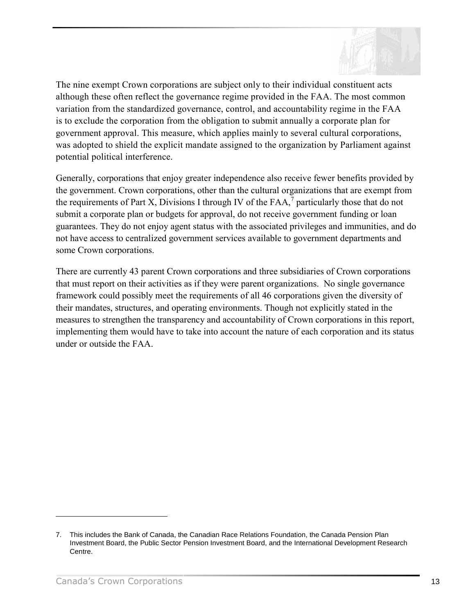

The nine exempt Crown corporations are subject only to their individual constituent acts although these often reflect the governance regime provided in the FAA. The most common variation from the standardized governance, control, and accountability regime in the FAA is to exclude the corporation from the obligation to submit annually a corporate plan for government approval. This measure, which applies mainly to several cultural corporations, was adopted to shield the explicit mandate assigned to the organization by Parliament against potential political interference.

Generally, corporations that enjoy greater independence also receive fewer benefits provided by the government. Crown corporations, other than the cultural organizations that are exempt from the requirements of Part X, Divisions I through IV of the  $FAA$ ,<sup>7</sup> particularly those that do not submit a corporate plan or budgets for approval, do not receive government funding or loan guarantees. They do not enjoy agent status with the associated privileges and immunities, and do not have access to centralized government services available to government departments and some Crown corporations.

There are currently 43 parent Crown corporations and three subsidiaries of Crown corporations that must report on their activities as if they were parent organizations. No single governance framework could possibly meet the requirements of all 46 corporations given the diversity of their mandates, structures, and operating environments. Though not explicitly stated in the measures to strengthen the transparency and accountability of Crown corporations in this report, implementing them would have to take into account the nature of each corporation and its status under or outside the FAA.

<u>.</u>

<sup>7.</sup> This includes the Bank of Canada, the Canadian Race Relations Foundation, the Canada Pension Plan Investment Board, the Public Sector Pension Investment Board, and the International Development Research Centre.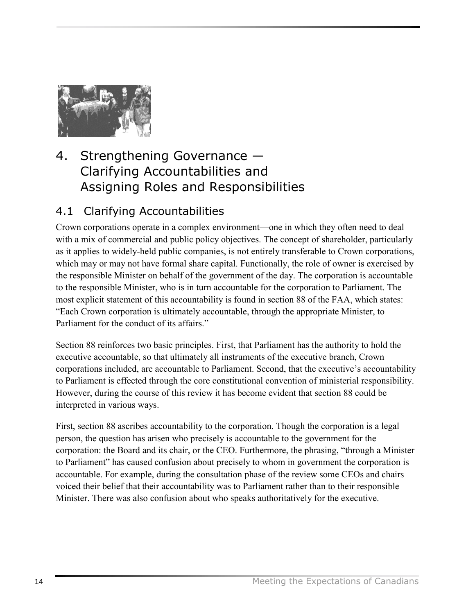<span id="page-17-0"></span>

# 4. Strengthening Governance  $-$ Clarifying Accountabilities and Assigning Roles and Responsibilities

# 4.1 Clarifying Accountabilities

Crown corporations operate in a complex environment—one in which they often need to deal with a mix of commercial and public policy objectives. The concept of shareholder, particularly as it applies to widely-held public companies, is not entirely transferable to Crown corporations, which may or may not have formal share capital. Functionally, the role of owner is exercised by the responsible Minister on behalf of the government of the day. The corporation is accountable to the responsible Minister, who is in turn accountable for the corporation to Parliament. The most explicit statement of this accountability is found in section 88 of the FAA, which states: ìEach Crown corporation is ultimately accountable, through the appropriate Minister, to Parliament for the conduct of its affairs.<sup>"</sup>

Section 88 reinforces two basic principles. First, that Parliament has the authority to hold the executive accountable, so that ultimately all instruments of the executive branch, Crown corporations included, are accountable to Parliament. Second, that the executive's accountability to Parliament is effected through the core constitutional convention of ministerial responsibility. However, during the course of this review it has become evident that section 88 could be interpreted in various ways.

First, section 88 ascribes accountability to the corporation. Though the corporation is a legal person, the question has arisen who precisely is accountable to the government for the corporation: the Board and its chair, or the CEO. Furthermore, the phrasing, "through a Minister to Parliament" has caused confusion about precisely to whom in government the corporation is accountable. For example, during the consultation phase of the review some CEOs and chairs voiced their belief that their accountability was to Parliament rather than to their responsible Minister. There was also confusion about who speaks authoritatively for the executive.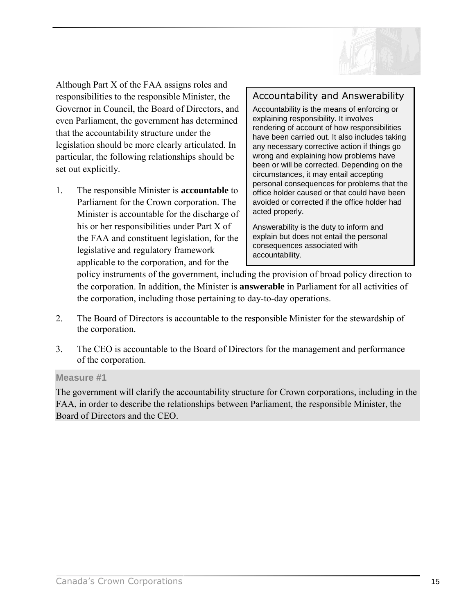

Although Part X of the FAA assigns roles and responsibilities to the responsible Minister, the Governor in Council, the Board of Directors, and even Parliament, the government has determined that the accountability structure under the legislation should be more clearly articulated. In particular, the following relationships should be set out explicitly.

1. The responsible Minister is **accountable** to Parliament for the Crown corporation. The Minister is accountable for the discharge of his or her responsibilities under Part X of the FAA and constituent legislation, for the legislative and regulatory framework applicable to the corporation, and for the

# Accountability and Answerability

Accountability is the means of enforcing or explaining responsibility. It involves rendering of account of how responsibilities have been carried out. It also includes taking any necessary corrective action if things go wrong and explaining how problems have been or will be corrected. Depending on the circumstances, it may entail accepting personal consequences for problems that the office holder caused or that could have been avoided or corrected if the office holder had acted properly.

Answerability is the duty to inform and explain but does not entail the personal consequences associated with accountability.

policy instruments of the government, including the provision of broad policy direction to the corporation. In addition, the Minister is **answerable** in Parliament for all activities of the corporation, including those pertaining to day-to-day operations.

- 2. The Board of Directors is accountable to the responsible Minister for the stewardship of the corporation.
- 3. The CEO is accountable to the Board of Directors for the management and performance of the corporation.

#### **Measure #1**

The government will clarify the accountability structure for Crown corporations, including in the FAA, in order to describe the relationships between Parliament, the responsible Minister, the Board of Directors and the CEO.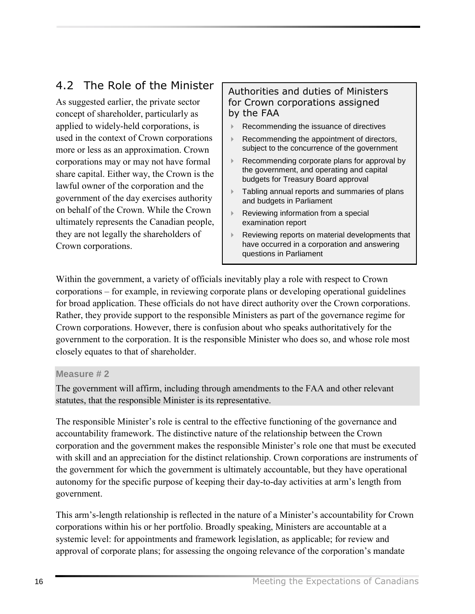# <span id="page-19-0"></span>4.2 The Role of the Minister

As suggested earlier, the private sector concept of shareholder, particularly as applied to widely-held corporations, is used in the context of Crown corporations more or less as an approximation. Crown corporations may or may not have formal share capital. Either way, the Crown is the lawful owner of the corporation and the government of the day exercises authority on behalf of the Crown. While the Crown ultimately represents the Canadian people, they are not legally the shareholders of Crown corporations.

# Authorities and duties of Ministers for Crown corporations assigned by the FAA

- ! Recommending the issuance of directives
- ! Recommending the appointment of directors, subject to the concurrence of the government
- ! Recommending corporate plans for approval by the government, and operating and capital budgets for Treasury Board approval
- **Tabling annual reports and summaries of plans** and budgets in Parliament
- Reviewing information from a special examination report
- ! Reviewing reports on material developments that have occurred in a corporation and answering questions in Parliament

Within the government, a variety of officials inevitably play a role with respect to Crown corporations – for example, in reviewing corporate plans or developing operational guidelines for broad application. These officials do not have direct authority over the Crown corporations. Rather, they provide support to the responsible Ministers as part of the governance regime for Crown corporations. However, there is confusion about who speaks authoritatively for the government to the corporation. It is the responsible Minister who does so, and whose role most closely equates to that of shareholder.

### **Measure # 2**

The government will affirm, including through amendments to the FAA and other relevant statutes, that the responsible Minister is its representative.

The responsible Minister's role is central to the effective functioning of the governance and accountability framework. The distinctive nature of the relationship between the Crown corporation and the government makes the responsible Minister's role one that must be executed with skill and an appreciation for the distinct relationship. Crown corporations are instruments of the government for which the government is ultimately accountable, but they have operational autonomy for the specific purpose of keeping their day-to-day activities at arm's length from government.

This arm's-length relationship is reflected in the nature of a Minister's accountability for Crown corporations within his or her portfolio. Broadly speaking, Ministers are accountable at a systemic level: for appointments and framework legislation, as applicable; for review and approval of corporate plans; for assessing the ongoing relevance of the corporation's mandate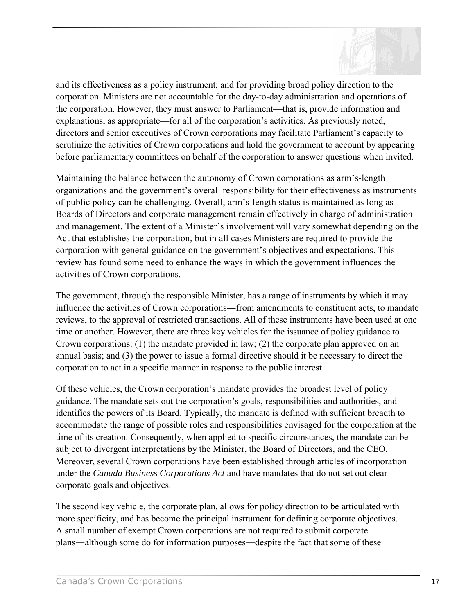

and its effectiveness as a policy instrument; and for providing broad policy direction to the corporation. Ministers are not accountable for the day-to-day administration and operations of the corporation. However, they must answer to Parliament—that is, provide information and explanations, as appropriate—for all of the corporation's activities. As previously noted, directors and senior executives of Crown corporations may facilitate Parliament's capacity to scrutinize the activities of Crown corporations and hold the government to account by appearing before parliamentary committees on behalf of the corporation to answer questions when invited.

Maintaining the balance between the autonomy of Crown corporations as arm s-length organizations and the government's overall responsibility for their effectiveness as instruments of public policy can be challenging. Overall, armís-length status is maintained as long as Boards of Directors and corporate management remain effectively in charge of administration and management. The extent of a Minister's involvement will vary somewhat depending on the Act that establishes the corporation, but in all cases Ministers are required to provide the corporation with general guidance on the government's objectives and expectations. This review has found some need to enhance the ways in which the government influences the activities of Crown corporations.

The government, through the responsible Minister, has a range of instruments by which it may influence the activities of Crown corporations―from amendments to constituent acts, to mandate reviews, to the approval of restricted transactions. All of these instruments have been used at one time or another. However, there are three key vehicles for the issuance of policy guidance to Crown corporations: (1) the mandate provided in law; (2) the corporate plan approved on an annual basis; and (3) the power to issue a formal directive should it be necessary to direct the corporation to act in a specific manner in response to the public interest.

Of these vehicles, the Crown corporation's mandate provides the broadest level of policy guidance. The mandate sets out the corporation's goals, responsibilities and authorities, and identifies the powers of its Board. Typically, the mandate is defined with sufficient breadth to accommodate the range of possible roles and responsibilities envisaged for the corporation at the time of its creation. Consequently, when applied to specific circumstances, the mandate can be subject to divergent interpretations by the Minister, the Board of Directors, and the CEO. Moreover, several Crown corporations have been established through articles of incorporation under the *Canada Business Corporations Act* and have mandates that do not set out clear corporate goals and objectives.

The second key vehicle, the corporate plan, allows for policy direction to be articulated with more specificity, and has become the principal instrument for defining corporate objectives. A small number of exempt Crown corporations are not required to submit corporate plans―although some do for information purposes―despite the fact that some of these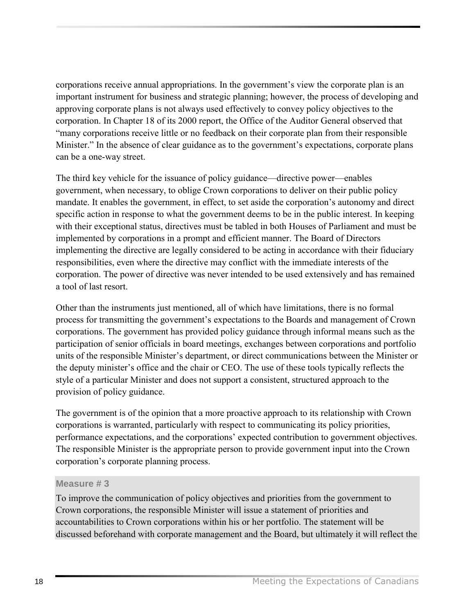corporations receive annual appropriations. In the government's view the corporate plan is an important instrument for business and strategic planning; however, the process of developing and approving corporate plans is not always used effectively to convey policy objectives to the corporation. In Chapter 18 of its 2000 report, the Office of the Auditor General observed that ìmany corporations receive little or no feedback on their corporate plan from their responsible Minister." In the absence of clear guidance as to the government's expectations, corporate plans can be a one-way street.

The third key vehicle for the issuance of policy guidance—directive power—enables government, when necessary, to oblige Crown corporations to deliver on their public policy mandate. It enables the government, in effect, to set aside the corporation's autonomy and direct specific action in response to what the government deems to be in the public interest. In keeping with their exceptional status, directives must be tabled in both Houses of Parliament and must be implemented by corporations in a prompt and efficient manner. The Board of Directors implementing the directive are legally considered to be acting in accordance with their fiduciary responsibilities, even where the directive may conflict with the immediate interests of the corporation. The power of directive was never intended to be used extensively and has remained a tool of last resort.

Other than the instruments just mentioned, all of which have limitations, there is no formal process for transmitting the government's expectations to the Boards and management of Crown corporations. The government has provided policy guidance through informal means such as the participation of senior officials in board meetings, exchanges between corporations and portfolio units of the responsible Minister's department, or direct communications between the Minister or the deputy minister's office and the chair or CEO. The use of these tools typically reflects the style of a particular Minister and does not support a consistent, structured approach to the provision of policy guidance.

The government is of the opinion that a more proactive approach to its relationship with Crown corporations is warranted, particularly with respect to communicating its policy priorities, performance expectations, and the corporations' expected contribution to government objectives. The responsible Minister is the appropriate person to provide government input into the Crown corporation's corporate planning process.

#### **Measure # 3**

To improve the communication of policy objectives and priorities from the government to Crown corporations, the responsible Minister will issue a statement of priorities and accountabilities to Crown corporations within his or her portfolio. The statement will be discussed beforehand with corporate management and the Board, but ultimately it will reflect the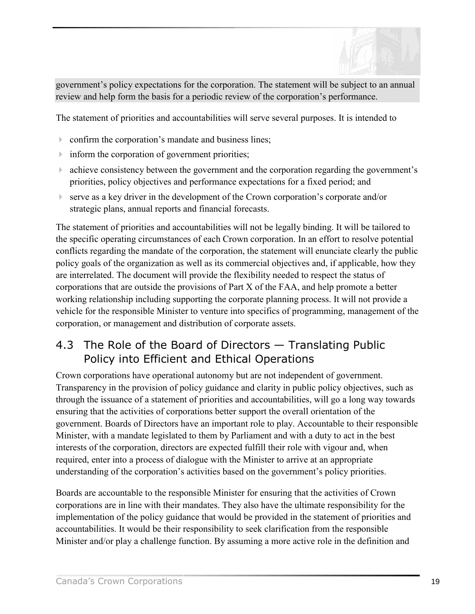

<span id="page-22-0"></span>government's policy expectations for the corporation. The statement will be subject to an annual review and help form the basis for a periodic review of the corporation's performance.

The statement of priorities and accountabilities will serve several purposes. It is intended to

- $\triangleright$  confirm the corporation's mandate and business lines;
- $\triangleright$  inform the corporation of government priorities;
- lacktriangleright achieve consistency between the government and the corporation regarding the government's priorities, policy objectives and performance expectations for a fixed period; and
- $\triangleright$  serve as a key driver in the development of the Crown corporation's corporate and/or strategic plans, annual reports and financial forecasts.

The statement of priorities and accountabilities will not be legally binding. It will be tailored to the specific operating circumstances of each Crown corporation. In an effort to resolve potential conflicts regarding the mandate of the corporation, the statement will enunciate clearly the public policy goals of the organization as well as its commercial objectives and, if applicable, how they are interrelated. The document will provide the flexibility needed to respect the status of corporations that are outside the provisions of Part X of the FAA, and help promote a better working relationship including supporting the corporate planning process. It will not provide a vehicle for the responsible Minister to venture into specifics of programming, management of the corporation, or management and distribution of corporate assets.

# 4.3 The Role of the Board of Directors  $-$  Translating Public Policy into Efficient and Ethical Operations

Crown corporations have operational autonomy but are not independent of government. Transparency in the provision of policy guidance and clarity in public policy objectives, such as through the issuance of a statement of priorities and accountabilities, will go a long way towards ensuring that the activities of corporations better support the overall orientation of the government. Boards of Directors have an important role to play. Accountable to their responsible Minister, with a mandate legislated to them by Parliament and with a duty to act in the best interests of the corporation, directors are expected fulfill their role with vigour and, when required, enter into a process of dialogue with the Minister to arrive at an appropriate understanding of the corporation's activities based on the government's policy priorities.

Boards are accountable to the responsible Minister for ensuring that the activities of Crown corporations are in line with their mandates. They also have the ultimate responsibility for the implementation of the policy guidance that would be provided in the statement of priorities and accountabilities. It would be their responsibility to seek clarification from the responsible Minister and/or play a challenge function. By assuming a more active role in the definition and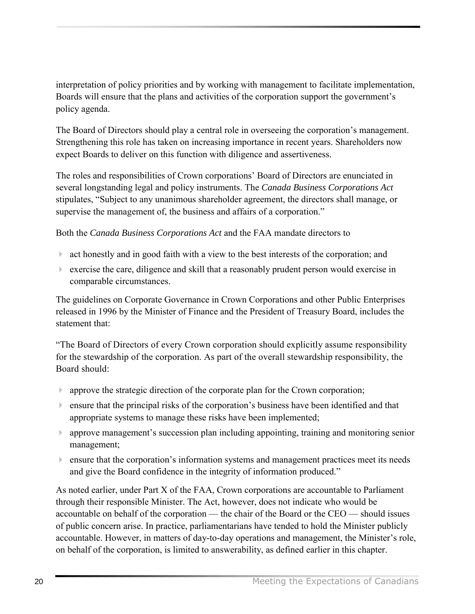interpretation of policy priorities and by working with management to facilitate implementation, Boards will ensure that the plans and activities of the corporation support the government's policy agenda.

The Board of Directors should play a central role in overseeing the corporation's management. Strengthening this role has taken on increasing importance in recent years. Shareholders now expect Boards to deliver on this function with diligence and assertiveness.

The roles and responsibilities of Crown corporations' Board of Directors are enunciated in several longstanding legal and policy instruments. The *Canada Business Corporations Act* stipulates, "Subject to any unanimous shareholder agreement, the directors shall manage, or supervise the management of, the business and affairs of a corporation."

Both the *Canada Business Corporations Act* and the FAA mandate directors to

- $\triangleright$  act honestly and in good faith with a view to the best interests of the corporation; and
- ! exercise the care, diligence and skill that a reasonably prudent person would exercise in comparable circumstances.

The guidelines on Corporate Governance in Crown Corporations and other Public Enterprises released in 1996 by the Minister of Finance and the President of Treasury Board, includes the statement that:

ìThe Board of Directors of every Crown corporation should explicitly assume responsibility for the stewardship of the corporation. As part of the overall stewardship responsibility, the Board should:

- $\triangleright$  approve the strategic direction of the corporate plan for the Crown corporation;
- $\triangleright$  ensure that the principal risks of the corporation's business have been identified and that appropriate systems to manage these risks have been implemented;
- $\blacktriangleright$  approve management's succession plan including appointing, training and monitoring senior management;
- $\blacktriangleright$  ensure that the corporation s information systems and management practices meet its needs and give the Board confidence in the integrity of information produced."

As noted earlier, under Part X of the FAA, Crown corporations are accountable to Parliament through their responsible Minister. The Act, however, does not indicate who would be accountable on behalf of the corporation  $-$  the chair of the Board or the CEO  $-$  should issues of public concern arise. In practice, parliamentarians have tended to hold the Minister publicly accountable. However, in matters of day-to-day operations and management, the Minister's role, on behalf of the corporation, is limited to answerability, as defined earlier in this chapter.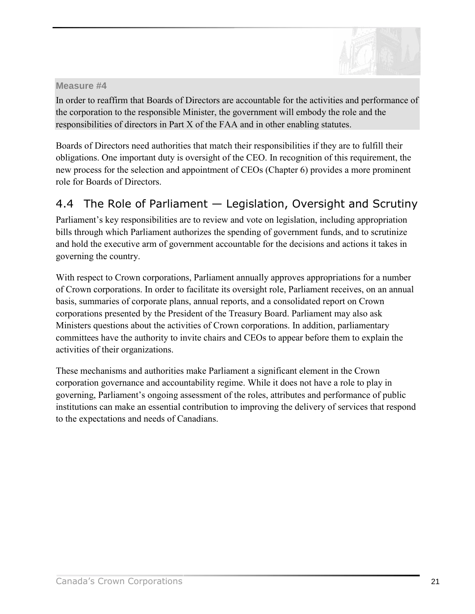

<span id="page-24-0"></span>In order to reaffirm that Boards of Directors are accountable for the activities and performance of the corporation to the responsible Minister, the government will embody the role and the responsibilities of directors in Part X of the FAA and in other enabling statutes.

Boards of Directors need authorities that match their responsibilities if they are to fulfill their obligations. One important duty is oversight of the CEO. In recognition of this requirement, the new process for the selection and appointment of CEOs (Chapter 6) provides a more prominent role for Boards of Directors.

# 4.4 The Role of Parliament  $-$  Legislation, Oversight and Scrutiny

Parliament's key responsibilities are to review and vote on legislation, including appropriation bills through which Parliament authorizes the spending of government funds, and to scrutinize and hold the executive arm of government accountable for the decisions and actions it takes in governing the country.

With respect to Crown corporations, Parliament annually approves appropriations for a number of Crown corporations. In order to facilitate its oversight role, Parliament receives, on an annual basis, summaries of corporate plans, annual reports, and a consolidated report on Crown corporations presented by the President of the Treasury Board. Parliament may also ask Ministers questions about the activities of Crown corporations. In addition, parliamentary committees have the authority to invite chairs and CEOs to appear before them to explain the activities of their organizations.

These mechanisms and authorities make Parliament a significant element in the Crown corporation governance and accountability regime. While it does not have a role to play in governing, Parliament's ongoing assessment of the roles, attributes and performance of public institutions can make an essential contribution to improving the delivery of services that respond to the expectations and needs of Canadians.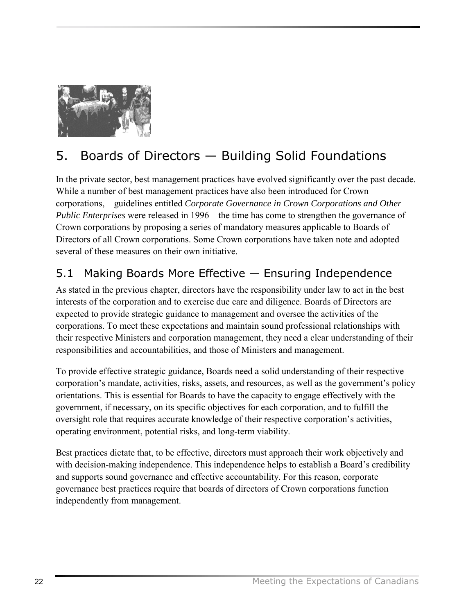<span id="page-25-0"></span>

# 5. Boards of Directors - Building Solid Foundations

In the private sector, best management practices have evolved significantly over the past decade. While a number of best management practices have also been introduced for Crown corporations,—guidelines entitled *Corporate Governance in Crown Corporations and Other Public Enterprises* were released in 1996—the time has come to strengthen the governance of Crown corporations by proposing a series of mandatory measures applicable to Boards of Directors of all Crown corporations. Some Crown corporations have taken note and adopted several of these measures on their own initiative.

# 5.1 Making Boards More Effective  $-$  Ensuring Independence

As stated in the previous chapter, directors have the responsibility under law to act in the best interests of the corporation and to exercise due care and diligence. Boards of Directors are expected to provide strategic guidance to management and oversee the activities of the corporations. To meet these expectations and maintain sound professional relationships with their respective Ministers and corporation management, they need a clear understanding of their responsibilities and accountabilities, and those of Ministers and management.

To provide effective strategic guidance, Boards need a solid understanding of their respective corporation's mandate, activities, risks, assets, and resources, as well as the government's policy orientations. This is essential for Boards to have the capacity to engage effectively with the government, if necessary, on its specific objectives for each corporation, and to fulfill the oversight role that requires accurate knowledge of their respective corporation's activities, operating environment, potential risks, and long-term viability.

Best practices dictate that, to be effective, directors must approach their work objectively and with decision-making independence. This independence helps to establish a Board's credibility and supports sound governance and effective accountability. For this reason, corporate governance best practices require that boards of directors of Crown corporations function independently from management.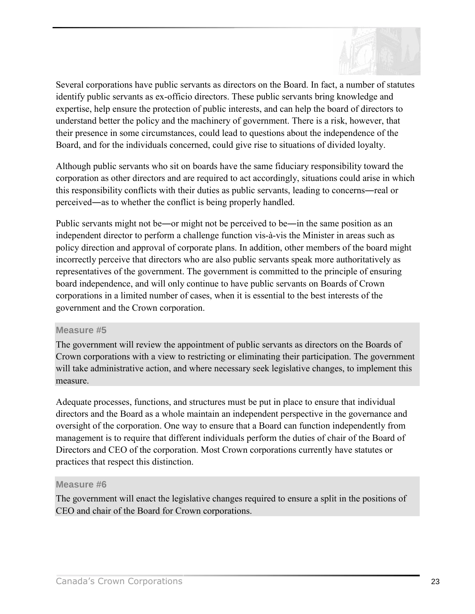

Several corporations have public servants as directors on the Board. In fact, a number of statutes identify public servants as ex-officio directors. These public servants bring knowledge and expertise, help ensure the protection of public interests, and can help the board of directors to understand better the policy and the machinery of government. There is a risk, however, that their presence in some circumstances, could lead to questions about the independence of the Board, and for the individuals concerned, could give rise to situations of divided loyalty.

Although public servants who sit on boards have the same fiduciary responsibility toward the corporation as other directors and are required to act accordingly, situations could arise in which this responsibility conflicts with their duties as public servants, leading to concerns―real or perceived―as to whether the conflict is being properly handled.

Public servants might not be―or might not be perceived to be―in the same position as an independent director to perform a challenge function vis-à-vis the Minister in areas such as policy direction and approval of corporate plans. In addition, other members of the board might incorrectly perceive that directors who are also public servants speak more authoritatively as representatives of the government. The government is committed to the principle of ensuring board independence, and will only continue to have public servants on Boards of Crown corporations in a limited number of cases, when it is essential to the best interests of the government and the Crown corporation.

#### **Measure #5**

The government will review the appointment of public servants as directors on the Boards of Crown corporations with a view to restricting or eliminating their participation. The government will take administrative action, and where necessary seek legislative changes, to implement this measure.

Adequate processes, functions, and structures must be put in place to ensure that individual directors and the Board as a whole maintain an independent perspective in the governance and oversight of the corporation. One way to ensure that a Board can function independently from management is to require that different individuals perform the duties of chair of the Board of Directors and CEO of the corporation. Most Crown corporations currently have statutes or practices that respect this distinction.

#### **Measure #6**

The government will enact the legislative changes required to ensure a split in the positions of CEO and chair of the Board for Crown corporations.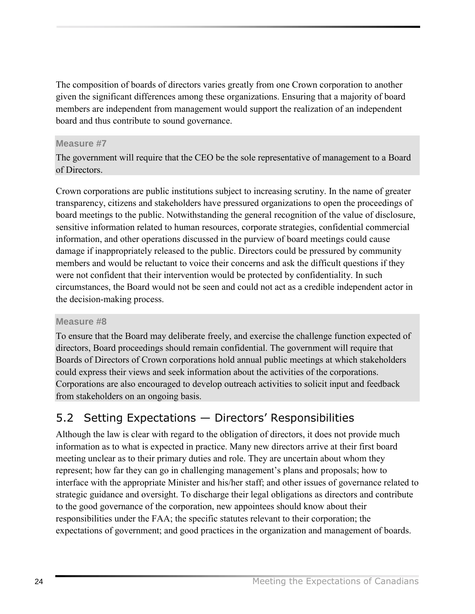<span id="page-27-0"></span>The composition of boards of directors varies greatly from one Crown corporation to another given the significant differences among these organizations. Ensuring that a majority of board members are independent from management would support the realization of an independent board and thus contribute to sound governance.

# **Measure #7**

The government will require that the CEO be the sole representative of management to a Board of Directors.

Crown corporations are public institutions subject to increasing scrutiny. In the name of greater transparency, citizens and stakeholders have pressured organizations to open the proceedings of board meetings to the public. Notwithstanding the general recognition of the value of disclosure, sensitive information related to human resources, corporate strategies, confidential commercial information, and other operations discussed in the purview of board meetings could cause damage if inappropriately released to the public. Directors could be pressured by community members and would be reluctant to voice their concerns and ask the difficult questions if they were not confident that their intervention would be protected by confidentiality. In such circumstances, the Board would not be seen and could not act as a credible independent actor in the decision-making process.

### **Measure #8**

To ensure that the Board may deliberate freely, and exercise the challenge function expected of directors, Board proceedings should remain confidential. The government will require that Boards of Directors of Crown corporations hold annual public meetings at which stakeholders could express their views and seek information about the activities of the corporations. Corporations are also encouraged to develop outreach activities to solicit input and feedback from stakeholders on an ongoing basis.

# 5.2 Setting Expectations  $-$  Directors' Responsibilities

Although the law is clear with regard to the obligation of directors, it does not provide much information as to what is expected in practice. Many new directors arrive at their first board meeting unclear as to their primary duties and role. They are uncertain about whom they represent; how far they can go in challenging management's plans and proposals; how to interface with the appropriate Minister and his/her staff; and other issues of governance related to strategic guidance and oversight. To discharge their legal obligations as directors and contribute to the good governance of the corporation, new appointees should know about their responsibilities under the FAA; the specific statutes relevant to their corporation; the expectations of government; and good practices in the organization and management of boards.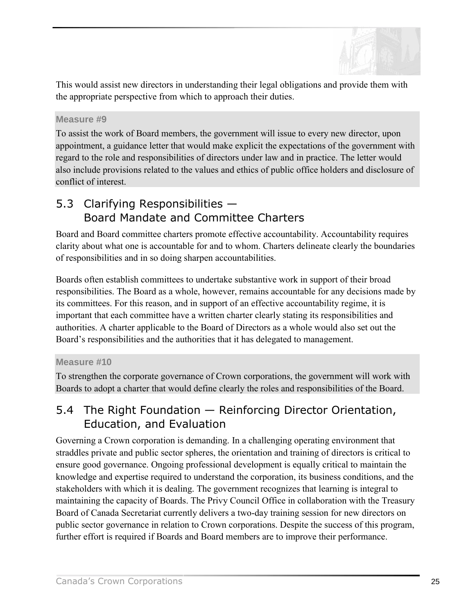

<span id="page-28-0"></span>This would assist new directors in understanding their legal obligations and provide them with the appropriate perspective from which to approach their duties.

### **Measure #9**

To assist the work of Board members, the government will issue to every new director, upon appointment, a guidance letter that would make explicit the expectations of the government with regard to the role and responsibilities of directors under law and in practice. The letter would also include provisions related to the values and ethics of public office holders and disclosure of conflict of interest.

# 5.3 Clarifying Responsibilities  $-$ Board Mandate and Committee Charters

Board and Board committee charters promote effective accountability. Accountability requires clarity about what one is accountable for and to whom. Charters delineate clearly the boundaries of responsibilities and in so doing sharpen accountabilities.

Boards often establish committees to undertake substantive work in support of their broad responsibilities. The Board as a whole, however, remains accountable for any decisions made by its committees. For this reason, and in support of an effective accountability regime, it is important that each committee have a written charter clearly stating its responsibilities and authorities. A charter applicable to the Board of Directors as a whole would also set out the Board's responsibilities and the authorities that it has delegated to management.

### **Measure #10**

To strengthen the corporate governance of Crown corporations, the government will work with Boards to adopt a charter that would define clearly the roles and responsibilities of the Board.

# 5.4 The Right Foundation  $-$  Reinforcing Director Orientation, Education, and Evaluation

Governing a Crown corporation is demanding. In a challenging operating environment that straddles private and public sector spheres, the orientation and training of directors is critical to ensure good governance. Ongoing professional development is equally critical to maintain the knowledge and expertise required to understand the corporation, its business conditions, and the stakeholders with which it is dealing. The government recognizes that learning is integral to maintaining the capacity of Boards. The Privy Council Office in collaboration with the Treasury Board of Canada Secretariat currently delivers a two-day training session for new directors on public sector governance in relation to Crown corporations. Despite the success of this program, further effort is required if Boards and Board members are to improve their performance.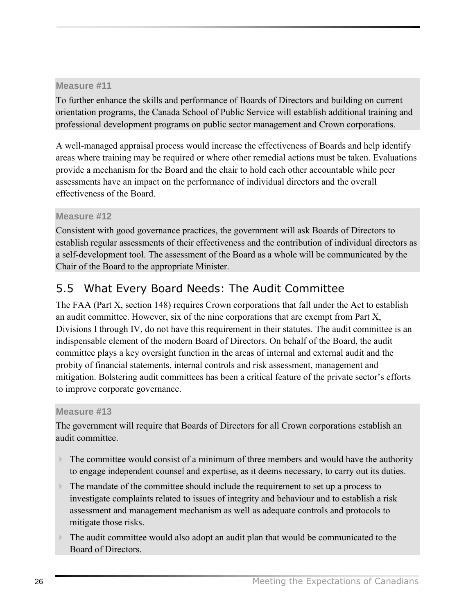<span id="page-29-0"></span>To further enhance the skills and performance of Boards of Directors and building on current orientation programs, the Canada School of Public Service will establish additional training and professional development programs on public sector management and Crown corporations.

A well-managed appraisal process would increase the effectiveness of Boards and help identify areas where training may be required or where other remedial actions must be taken. Evaluations provide a mechanism for the Board and the chair to hold each other accountable while peer assessments have an impact on the performance of individual directors and the overall effectiveness of the Board.

# **Measure #12**

Consistent with good governance practices, the government will ask Boards of Directors to establish regular assessments of their effectiveness and the contribution of individual directors as a self-development tool. The assessment of the Board as a whole will be communicated by the Chair of the Board to the appropriate Minister.

# 5.5 What Every Board Needs: The Audit Committee

The FAA (Part X, section 148) requires Crown corporations that fall under the Act to establish an audit committee. However, six of the nine corporations that are exempt from Part X, Divisions I through IV, do not have this requirement in their statutes. The audit committee is an indispensable element of the modern Board of Directors. On behalf of the Board, the audit committee plays a key oversight function in the areas of internal and external audit and the probity of financial statements, internal controls and risk assessment, management and mitigation. Bolstering audit committees has been a critical feature of the private sector's efforts to improve corporate governance.

### **Measure #13**

The government will require that Boards of Directors for all Crown corporations establish an audit committee.

- $\triangleright$  The committee would consist of a minimum of three members and would have the authority to engage independent counsel and expertise, as it deems necessary, to carry out its duties.
- $\triangleright$  The mandate of the committee should include the requirement to set up a process to investigate complaints related to issues of integrity and behaviour and to establish a risk assessment and management mechanism as well as adequate controls and protocols to mitigate those risks.
- ! The audit committee would also adopt an audit plan that would be communicated to the Board of Directors.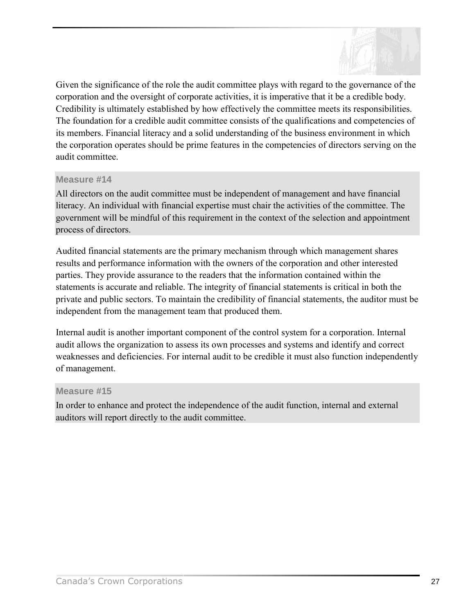

Given the significance of the role the audit committee plays with regard to the governance of the corporation and the oversight of corporate activities, it is imperative that it be a credible body. Credibility is ultimately established by how effectively the committee meets its responsibilities. The foundation for a credible audit committee consists of the qualifications and competencies of its members. Financial literacy and a solid understanding of the business environment in which the corporation operates should be prime features in the competencies of directors serving on the audit committee.

### **Measure #14**

All directors on the audit committee must be independent of management and have financial literacy. An individual with financial expertise must chair the activities of the committee. The government will be mindful of this requirement in the context of the selection and appointment process of directors.

Audited financial statements are the primary mechanism through which management shares results and performance information with the owners of the corporation and other interested parties. They provide assurance to the readers that the information contained within the statements is accurate and reliable. The integrity of financial statements is critical in both the private and public sectors. To maintain the credibility of financial statements, the auditor must be independent from the management team that produced them.

Internal audit is another important component of the control system for a corporation. Internal audit allows the organization to assess its own processes and systems and identify and correct weaknesses and deficiencies. For internal audit to be credible it must also function independently of management.

#### **Measure #15**

In order to enhance and protect the independence of the audit function, internal and external auditors will report directly to the audit committee.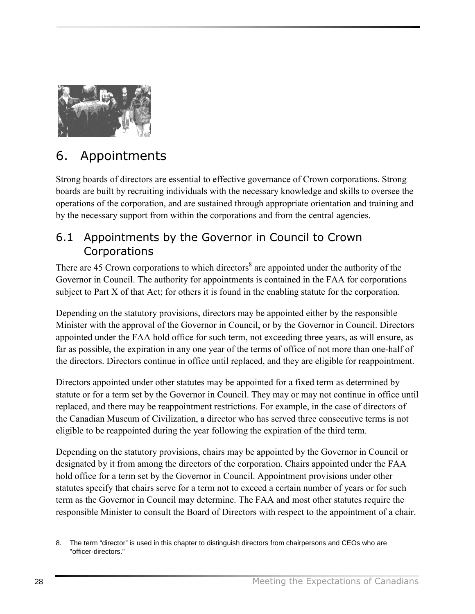<span id="page-31-0"></span>

# 6. Appointments

Strong boards of directors are essential to effective governance of Crown corporations. Strong boards are built by recruiting individuals with the necessary knowledge and skills to oversee the operations of the corporation, and are sustained through appropriate orientation and training and by the necessary support from within the corporations and from the central agencies.

# 6.1 Appointments by the Governor in Council to Crown Corporations

There are 45 Crown corporations to which directors<sup>8</sup> are appointed under the authority of the Governor in Council. The authority for appointments is contained in the FAA for corporations subject to Part X of that Act; for others it is found in the enabling statute for the corporation.

Depending on the statutory provisions, directors may be appointed either by the responsible Minister with the approval of the Governor in Council, or by the Governor in Council. Directors appointed under the FAA hold office for such term, not exceeding three years, as will ensure, as far as possible, the expiration in any one year of the terms of office of not more than one-half of the directors. Directors continue in office until replaced, and they are eligible for reappointment.

Directors appointed under other statutes may be appointed for a fixed term as determined by statute or for a term set by the Governor in Council. They may or may not continue in office until replaced, and there may be reappointment restrictions. For example, in the case of directors of the Canadian Museum of Civilization, a director who has served three consecutive terms is not eligible to be reappointed during the year following the expiration of the third term.

Depending on the statutory provisions, chairs may be appointed by the Governor in Council or designated by it from among the directors of the corporation. Chairs appointed under the FAA hold office for a term set by the Governor in Council. Appointment provisions under other statutes specify that chairs serve for a term not to exceed a certain number of years or for such term as the Governor in Council may determine. The FAA and most other statutes require the responsible Minister to consult the Board of Directors with respect to the appointment of a chair.

<sup>8.</sup> The term "director" is used in this chapter to distinguish directors from chairpersons and CEOs who are "officer-directors."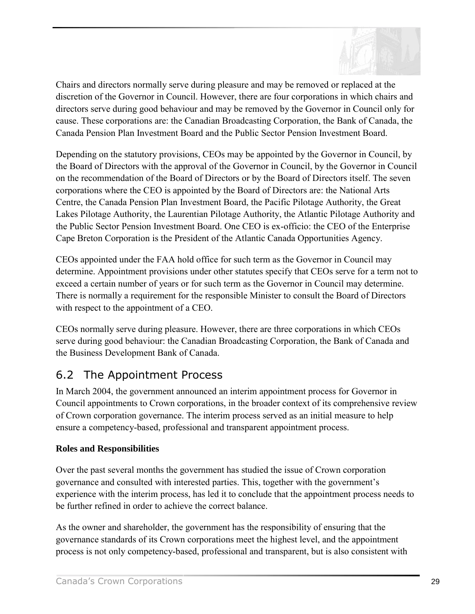

<span id="page-32-0"></span>Chairs and directors normally serve during pleasure and may be removed or replaced at the discretion of the Governor in Council. However, there are four corporations in which chairs and directors serve during good behaviour and may be removed by the Governor in Council only for cause. These corporations are: the Canadian Broadcasting Corporation, the Bank of Canada, the Canada Pension Plan Investment Board and the Public Sector Pension Investment Board.

Depending on the statutory provisions, CEOs may be appointed by the Governor in Council, by the Board of Directors with the approval of the Governor in Council, by the Governor in Council on the recommendation of the Board of Directors or by the Board of Directors itself. The seven corporations where the CEO is appointed by the Board of Directors are: the National Arts Centre, the Canada Pension Plan Investment Board, the Pacific Pilotage Authority, the Great Lakes Pilotage Authority, the Laurentian Pilotage Authority, the Atlantic Pilotage Authority and the Public Sector Pension Investment Board. One CEO is ex-officio: the CEO of the Enterprise Cape Breton Corporation is the President of the Atlantic Canada Opportunities Agency.

CEOs appointed under the FAA hold office for such term as the Governor in Council may determine. Appointment provisions under other statutes specify that CEOs serve for a term not to exceed a certain number of years or for such term as the Governor in Council may determine. There is normally a requirement for the responsible Minister to consult the Board of Directors with respect to the appointment of a CEO.

CEOs normally serve during pleasure. However, there are three corporations in which CEOs serve during good behaviour: the Canadian Broadcasting Corporation, the Bank of Canada and the Business Development Bank of Canada.

# 6.2 The Appointment Process

In March 2004, the government announced an interim appointment process for Governor in Council appointments to Crown corporations, in the broader context of its comprehensive review of Crown corporation governance. The interim process served as an initial measure to help ensure a competency-based, professional and transparent appointment process.

# **Roles and Responsibilities**

Over the past several months the government has studied the issue of Crown corporation governance and consulted with interested parties. This, together with the government's experience with the interim process, has led it to conclude that the appointment process needs to be further refined in order to achieve the correct balance.

As the owner and shareholder, the government has the responsibility of ensuring that the governance standards of its Crown corporations meet the highest level, and the appointment process is not only competency-based, professional and transparent, but is also consistent with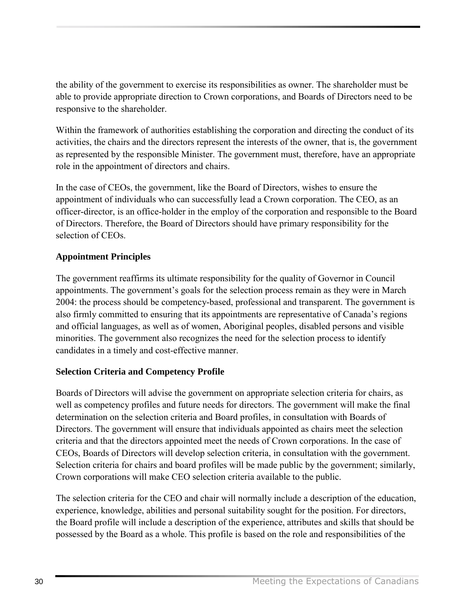the ability of the government to exercise its responsibilities as owner. The shareholder must be able to provide appropriate direction to Crown corporations, and Boards of Directors need to be responsive to the shareholder.

Within the framework of authorities establishing the corporation and directing the conduct of its activities, the chairs and the directors represent the interests of the owner, that is, the government as represented by the responsible Minister. The government must, therefore, have an appropriate role in the appointment of directors and chairs.

In the case of CEOs, the government, like the Board of Directors, wishes to ensure the appointment of individuals who can successfully lead a Crown corporation. The CEO, as an officer-director, is an office-holder in the employ of the corporation and responsible to the Board of Directors. Therefore, the Board of Directors should have primary responsibility for the selection of CEOs.

# **Appointment Principles**

The government reaffirms its ultimate responsibility for the quality of Governor in Council appointments. The government's goals for the selection process remain as they were in March 2004: the process should be competency-based, professional and transparent. The government is also firmly committed to ensuring that its appointments are representative of Canada's regions and official languages, as well as of women, Aboriginal peoples, disabled persons and visible minorities. The government also recognizes the need for the selection process to identify candidates in a timely and cost-effective manner.

# **Selection Criteria and Competency Profile**

Boards of Directors will advise the government on appropriate selection criteria for chairs, as well as competency profiles and future needs for directors. The government will make the final determination on the selection criteria and Board profiles, in consultation with Boards of Directors. The government will ensure that individuals appointed as chairs meet the selection criteria and that the directors appointed meet the needs of Crown corporations. In the case of CEOs, Boards of Directors will develop selection criteria, in consultation with the government. Selection criteria for chairs and board profiles will be made public by the government; similarly, Crown corporations will make CEO selection criteria available to the public.

The selection criteria for the CEO and chair will normally include a description of the education, experience, knowledge, abilities and personal suitability sought for the position. For directors, the Board profile will include a description of the experience, attributes and skills that should be possessed by the Board as a whole. This profile is based on the role and responsibilities of the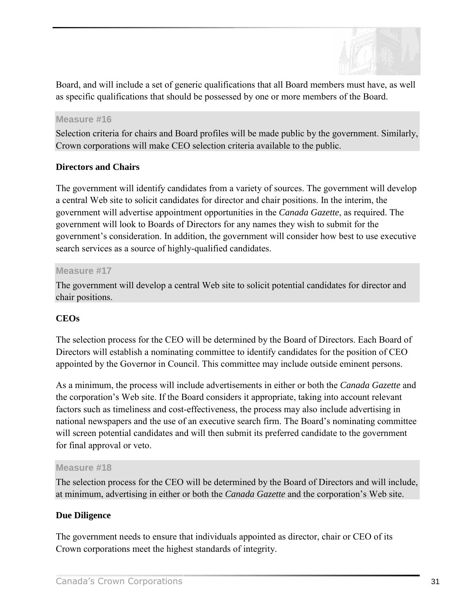

Board, and will include a set of generic qualifications that all Board members must have, as well as specific qualifications that should be possessed by one or more members of the Board.

#### **Measure #16**

Selection criteria for chairs and Board profiles will be made public by the government. Similarly, Crown corporations will make CEO selection criteria available to the public.

### **Directors and Chairs**

The government will identify candidates from a variety of sources. The government will develop a central Web site to solicit candidates for director and chair positions. In the interim, the government will advertise appointment opportunities in the *Canada Gazette*, as required. The government will look to Boards of Directors for any names they wish to submit for the government's consideration. In addition, the government will consider how best to use executive search services as a source of highly-qualified candidates.

### **Measure #17**

The government will develop a central Web site to solicit potential candidates for director and chair positions.

### **CEOs**

The selection process for the CEO will be determined by the Board of Directors. Each Board of Directors will establish a nominating committee to identify candidates for the position of CEO appointed by the Governor in Council. This committee may include outside eminent persons.

As a minimum, the process will include advertisements in either or both the *Canada Gazette* and the corporationís Web site. If the Board considers it appropriate, taking into account relevant factors such as timeliness and cost-effectiveness, the process may also include advertising in national newspapers and the use of an executive search firm. The Board's nominating committee will screen potential candidates and will then submit its preferred candidate to the government for final approval or veto.

#### **Measure #18**

The selection process for the CEO will be determined by the Board of Directors and will include, at minimum, advertising in either or both the *Canada Gazette* and the corporation's Web site.

### **Due Diligence**

The government needs to ensure that individuals appointed as director, chair or CEO of its Crown corporations meet the highest standards of integrity.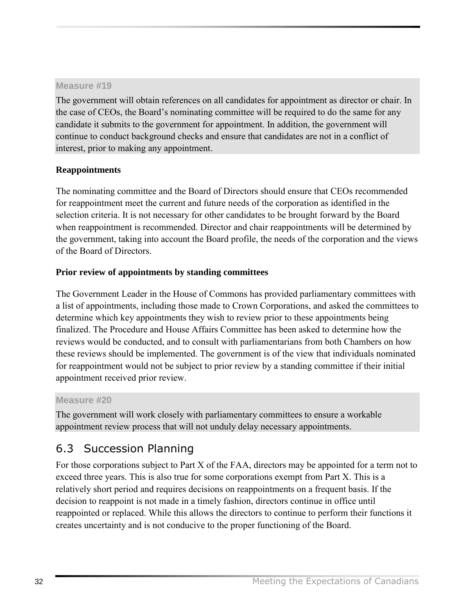<span id="page-35-0"></span>The government will obtain references on all candidates for appointment as director or chair. In the case of CEOs, the Board's nominating committee will be required to do the same for any candidate it submits to the government for appointment. In addition, the government will continue to conduct background checks and ensure that candidates are not in a conflict of interest, prior to making any appointment.

# **Reappointments**

The nominating committee and the Board of Directors should ensure that CEOs recommended for reappointment meet the current and future needs of the corporation as identified in the selection criteria. It is not necessary for other candidates to be brought forward by the Board when reappointment is recommended. Director and chair reappointments will be determined by the government, taking into account the Board profile, the needs of the corporation and the views of the Board of Directors.

# **Prior review of appointments by standing committees**

The Government Leader in the House of Commons has provided parliamentary committees with a list of appointments, including those made to Crown Corporations, and asked the committees to determine which key appointments they wish to review prior to these appointments being finalized. The Procedure and House Affairs Committee has been asked to determine how the reviews would be conducted, and to consult with parliamentarians from both Chambers on how these reviews should be implemented. The government is of the view that individuals nominated for reappointment would not be subject to prior review by a standing committee if their initial appointment received prior review.

### **Measure #20**

The government will work closely with parliamentary committees to ensure a workable appointment review process that will not unduly delay necessary appointments.

# 6.3 Succession Planning

For those corporations subject to Part X of the FAA, directors may be appointed for a term not to exceed three years. This is also true for some corporations exempt from Part X. This is a relatively short period and requires decisions on reappointments on a frequent basis. If the decision to reappoint is not made in a timely fashion, directors continue in office until reappointed or replaced. While this allows the directors to continue to perform their functions it creates uncertainty and is not conducive to the proper functioning of the Board.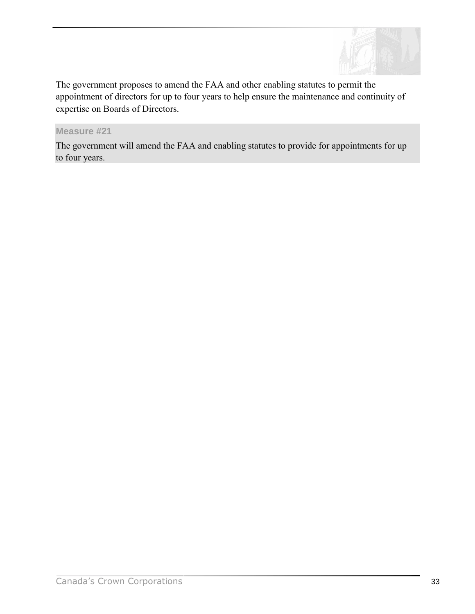

The government proposes to amend the FAA and other enabling statutes to permit the appointment of directors for up to four years to help ensure the maintenance and continuity of expertise on Boards of Directors.

### **Measure #21**

The government will amend the FAA and enabling statutes to provide for appointments for up to four years.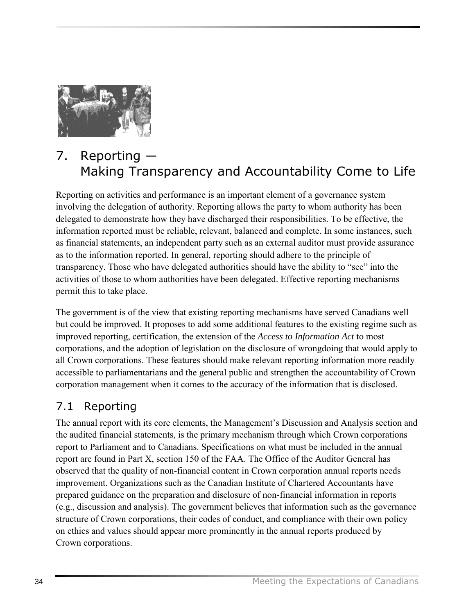<span id="page-37-0"></span>

# 7. Reporting ― Making Transparency and Accountability Come to Life

Reporting on activities and performance is an important element of a governance system involving the delegation of authority. Reporting allows the party to whom authority has been delegated to demonstrate how they have discharged their responsibilities. To be effective, the information reported must be reliable, relevant, balanced and complete. In some instances, such as financial statements, an independent party such as an external auditor must provide assurance as to the information reported. In general, reporting should adhere to the principle of transparency. Those who have delegated authorities should have the ability to "see" into the activities of those to whom authorities have been delegated. Effective reporting mechanisms permit this to take place.

The government is of the view that existing reporting mechanisms have served Canadians well but could be improved. It proposes to add some additional features to the existing regime such as improved reporting, certification, the extension of the *Access to Information Act* to most corporations, and the adoption of legislation on the disclosure of wrongdoing that would apply to all Crown corporations. These features should make relevant reporting information more readily accessible to parliamentarians and the general public and strengthen the accountability of Crown corporation management when it comes to the accuracy of the information that is disclosed.

# 7.1 Reporting

The annual report with its core elements, the Management's Discussion and Analysis section and the audited financial statements, is the primary mechanism through which Crown corporations report to Parliament and to Canadians. Specifications on what must be included in the annual report are found in Part X, section 150 of the FAA. The Office of the Auditor General has observed that the quality of non-financial content in Crown corporation annual reports needs improvement. Organizations such as the Canadian Institute of Chartered Accountants have prepared guidance on the preparation and disclosure of non-financial information in reports (e.g., discussion and analysis). The government believes that information such as the governance structure of Crown corporations, their codes of conduct, and compliance with their own policy on ethics and values should appear more prominently in the annual reports produced by Crown corporations.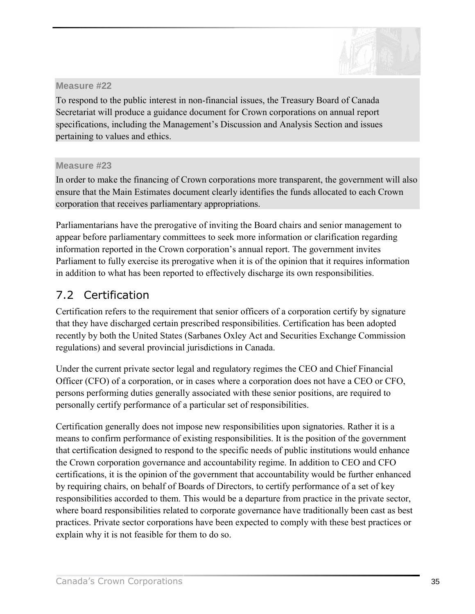

<span id="page-38-0"></span>To respond to the public interest in non-financial issues, the Treasury Board of Canada Secretariat will produce a guidance document for Crown corporations on annual report specifications, including the Management's Discussion and Analysis Section and issues pertaining to values and ethics.

### **Measure #23**

In order to make the financing of Crown corporations more transparent, the government will also ensure that the Main Estimates document clearly identifies the funds allocated to each Crown corporation that receives parliamentary appropriations.

Parliamentarians have the prerogative of inviting the Board chairs and senior management to appear before parliamentary committees to seek more information or clarification regarding information reported in the Crown corporation's annual report. The government invites Parliament to fully exercise its prerogative when it is of the opinion that it requires information in addition to what has been reported to effectively discharge its own responsibilities.

# 7.2 Certification

Certification refers to the requirement that senior officers of a corporation certify by signature that they have discharged certain prescribed responsibilities. Certification has been adopted recently by both the United States (Sarbanes Oxley Act and Securities Exchange Commission regulations) and several provincial jurisdictions in Canada.

Under the current private sector legal and regulatory regimes the CEO and Chief Financial Officer (CFO) of a corporation, or in cases where a corporation does not have a CEO or CFO, persons performing duties generally associated with these senior positions, are required to personally certify performance of a particular set of responsibilities.

Certification generally does not impose new responsibilities upon signatories. Rather it is a means to confirm performance of existing responsibilities. It is the position of the government that certification designed to respond to the specific needs of public institutions would enhance the Crown corporation governance and accountability regime. In addition to CEO and CFO certifications, it is the opinion of the government that accountability would be further enhanced by requiring chairs, on behalf of Boards of Directors, to certify performance of a set of key responsibilities accorded to them. This would be a departure from practice in the private sector, where board responsibilities related to corporate governance have traditionally been cast as best practices. Private sector corporations have been expected to comply with these best practices or explain why it is not feasible for them to do so.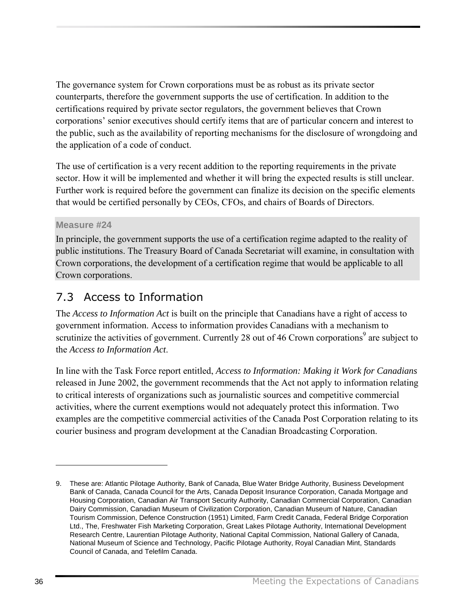<span id="page-39-0"></span>The governance system for Crown corporations must be as robust as its private sector counterparts, therefore the government supports the use of certification. In addition to the certifications required by private sector regulators, the government believes that Crown corporations' senior executives should certify items that are of particular concern and interest to the public, such as the availability of reporting mechanisms for the disclosure of wrongdoing and the application of a code of conduct.

The use of certification is a very recent addition to the reporting requirements in the private sector. How it will be implemented and whether it will bring the expected results is still unclear. Further work is required before the government can finalize its decision on the specific elements that would be certified personally by CEOs, CFOs, and chairs of Boards of Directors.

# **Measure #24**

In principle, the government supports the use of a certification regime adapted to the reality of public institutions. The Treasury Board of Canada Secretariat will examine, in consultation with Crown corporations, the development of a certification regime that would be applicable to all Crown corporations.

# 7.3 Access to Information

The *Access to Information Act* is built on the principle that Canadians have a right of access to government information. Access to information provides Canadians with a mechanism to scrutinize the activities of government. Currently 28 out of 46 Crown corporations<sup>9</sup> are subject to the *Access to Information Act*.

In line with the Task Force report entitled, *Access to Information: Making it Work for Canadians* released in June 2002, the government recommends that the Act not apply to information relating to critical interests of organizations such as journalistic sources and competitive commercial activities, where the current exemptions would not adequately protect this information. Two examples are the competitive commercial activities of the Canada Post Corporation relating to its courier business and program development at the Canadian Broadcasting Corporation.

<sup>9.</sup> These are: Atlantic Pilotage Authority, Bank of Canada, Blue Water Bridge Authority, Business Development Bank of Canada, Canada Council for the Arts, Canada Deposit Insurance Corporation, Canada Mortgage and Housing Corporation, Canadian Air Transport Security Authority, Canadian Commercial Corporation, Canadian Dairy Commission, Canadian Museum of Civilization Corporation, Canadian Museum of Nature, Canadian Tourism Commission, Defence Construction (1951) Limited, Farm Credit Canada, Federal Bridge Corporation Ltd., The, Freshwater Fish Marketing Corporation, Great Lakes Pilotage Authority, International Development Research Centre, Laurentian Pilotage Authority, National Capital Commission, National Gallery of Canada, National Museum of Science and Technology, Pacific Pilotage Authority, Royal Canadian Mint, Standards Council of Canada, and Telefilm Canada.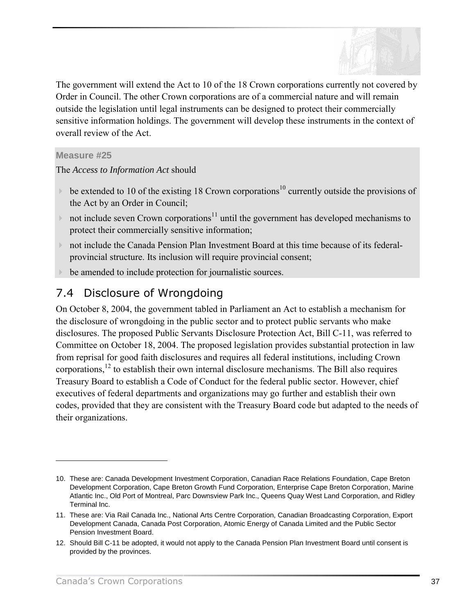

<span id="page-40-0"></span>The government will extend the Act to 10 of the 18 Crown corporations currently not covered by Order in Council. The other Crown corporations are of a commercial nature and will remain outside the legislation until legal instruments can be designed to protect their commercially sensitive information holdings. The government will develop these instruments in the context of overall review of the Act.

### **Measure #25**

The *Access to Information Act* should

- $\triangleright$  be extended to 10 of the existing 18 Crown corporations<sup>10</sup> currently outside the provisions of the Act by an Order in Council;
- If not include seven Crown corporations<sup>11</sup> until the government has developed mechanisms to protect their commercially sensitive information;
- ! not include the Canada Pension Plan Investment Board at this time because of its federalprovincial structure. Its inclusion will require provincial consent;
- be amended to include protection for journalistic sources.

# 7.4 Disclosure of Wrongdoing

On October 8, 2004, the government tabled in Parliament an Act to establish a mechanism for the disclosure of wrongdoing in the public sector and to protect public servants who make disclosures. The proposed Public Servants Disclosure Protection Act, Bill C-11, was referred to Committee on October 18, 2004. The proposed legislation provides substantial protection in law from reprisal for good faith disclosures and requires all federal institutions, including Crown corporations,12 to establish their own internal disclosure mechanisms. The Bill also requires Treasury Board to establish a Code of Conduct for the federal public sector. However, chief executives of federal departments and organizations may go further and establish their own codes, provided that they are consistent with the Treasury Board code but adapted to the needs of their organizations.

<sup>10.</sup> These are: Canada Development Investment Corporation, Canadian Race Relations Foundation, Cape Breton Development Corporation, Cape Breton Growth Fund Corporation, Enterprise Cape Breton Corporation, Marine Atlantic Inc., Old Port of Montreal, Parc Downsview Park Inc., Queens Quay West Land Corporation, and Ridley Terminal Inc.

<sup>11.</sup> These are: Via Rail Canada Inc., National Arts Centre Corporation, Canadian Broadcasting Corporation, Export Development Canada, Canada Post Corporation, Atomic Energy of Canada Limited and the Public Sector Pension Investment Board.

<sup>12.</sup> Should Bill C-11 be adopted, it would not apply to the Canada Pension Plan Investment Board until consent is provided by the provinces.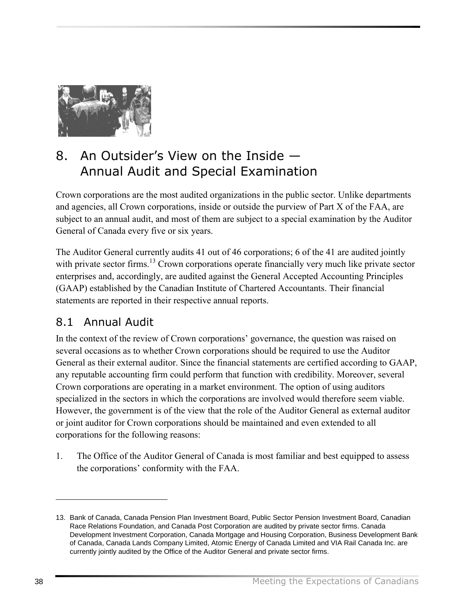<span id="page-41-0"></span>

# 8. An Outsider's View on the Inside  $-$ Annual Audit and Special Examination

Crown corporations are the most audited organizations in the public sector. Unlike departments and agencies, all Crown corporations, inside or outside the purview of Part X of the FAA, are subject to an annual audit, and most of them are subject to a special examination by the Auditor General of Canada every five or six years.

The Auditor General currently audits 41 out of 46 corporations; 6 of the 41 are audited jointly with private sector firms.<sup>13</sup> Crown corporations operate financially very much like private sector enterprises and, accordingly, are audited against the General Accepted Accounting Principles (GAAP) established by the Canadian Institute of Chartered Accountants. Their financial statements are reported in their respective annual reports.

# 8.1 Annual Audit

In the context of the review of Crown corporations' governance, the question was raised on several occasions as to whether Crown corporations should be required to use the Auditor General as their external auditor. Since the financial statements are certified according to GAAP, any reputable accounting firm could perform that function with credibility. Moreover, several Crown corporations are operating in a market environment. The option of using auditors specialized in the sectors in which the corporations are involved would therefore seem viable. However, the government is of the view that the role of the Auditor General as external auditor or joint auditor for Crown corporations should be maintained and even extended to all corporations for the following reasons:

1. The Office of the Auditor General of Canada is most familiar and best equipped to assess the corporations' conformity with the FAA.

<sup>13.</sup> Bank of Canada, Canada Pension Plan Investment Board, Public Sector Pension Investment Board, Canadian Race Relations Foundation, and Canada Post Corporation are audited by private sector firms. Canada Development Investment Corporation, Canada Mortgage and Housing Corporation, Business Development Bank of Canada, Canada Lands Company Limited, Atomic Energy of Canada Limited and VIA Rail Canada Inc. are currently jointly audited by the Office of the Auditor General and private sector firms.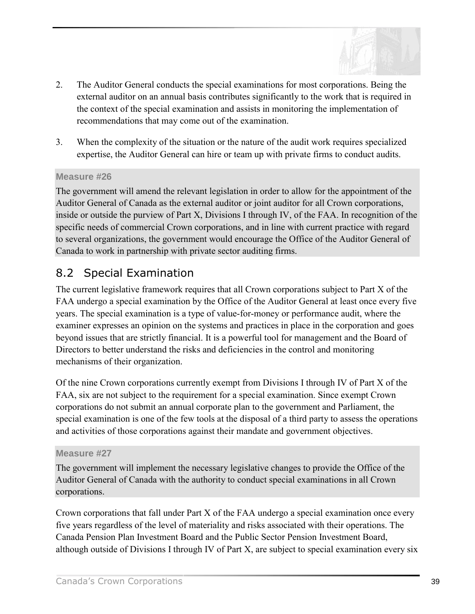

- <span id="page-42-0"></span>2. The Auditor General conducts the special examinations for most corporations. Being the external auditor on an annual basis contributes significantly to the work that is required in the context of the special examination and assists in monitoring the implementation of recommendations that may come out of the examination.
- 3. When the complexity of the situation or the nature of the audit work requires specialized expertise, the Auditor General can hire or team up with private firms to conduct audits.

The government will amend the relevant legislation in order to allow for the appointment of the Auditor General of Canada as the external auditor or joint auditor for all Crown corporations, inside or outside the purview of Part X, Divisions I through IV, of the FAA. In recognition of the specific needs of commercial Crown corporations, and in line with current practice with regard to several organizations, the government would encourage the Office of the Auditor General of Canada to work in partnership with private sector auditing firms.

# 8.2 Special Examination

The current legislative framework requires that all Crown corporations subject to Part X of the FAA undergo a special examination by the Office of the Auditor General at least once every five years. The special examination is a type of value-for-money or performance audit, where the examiner expresses an opinion on the systems and practices in place in the corporation and goes beyond issues that are strictly financial. It is a powerful tool for management and the Board of Directors to better understand the risks and deficiencies in the control and monitoring mechanisms of their organization.

Of the nine Crown corporations currently exempt from Divisions I through IV of Part X of the FAA, six are not subject to the requirement for a special examination. Since exempt Crown corporations do not submit an annual corporate plan to the government and Parliament, the special examination is one of the few tools at the disposal of a third party to assess the operations and activities of those corporations against their mandate and government objectives.

#### **Measure #27**

The government will implement the necessary legislative changes to provide the Office of the Auditor General of Canada with the authority to conduct special examinations in all Crown corporations.

Crown corporations that fall under Part X of the FAA undergo a special examination once every five years regardless of the level of materiality and risks associated with their operations. The Canada Pension Plan Investment Board and the Public Sector Pension Investment Board, although outside of Divisions I through IV of Part X, are subject to special examination every six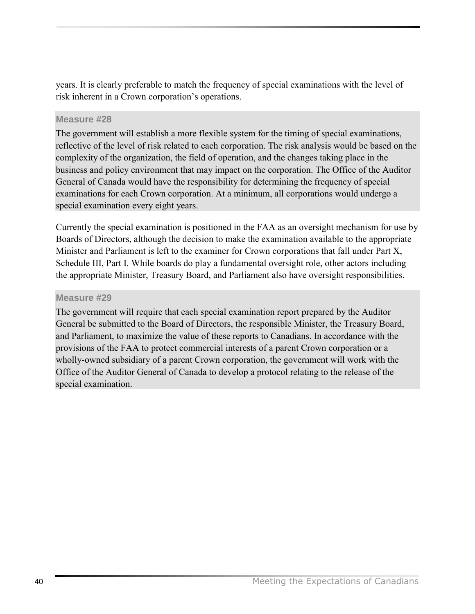years. It is clearly preferable to match the frequency of special examinations with the level of risk inherent in a Crown corporation's operations.

### **Measure #28**

The government will establish a more flexible system for the timing of special examinations, reflective of the level of risk related to each corporation. The risk analysis would be based on the complexity of the organization, the field of operation, and the changes taking place in the business and policy environment that may impact on the corporation. The Office of the Auditor General of Canada would have the responsibility for determining the frequency of special examinations for each Crown corporation. At a minimum, all corporations would undergo a special examination every eight years.

Currently the special examination is positioned in the FAA as an oversight mechanism for use by Boards of Directors, although the decision to make the examination available to the appropriate Minister and Parliament is left to the examiner for Crown corporations that fall under Part X, Schedule III, Part I. While boards do play a fundamental oversight role, other actors including the appropriate Minister, Treasury Board, and Parliament also have oversight responsibilities.

# **Measure #29**

The government will require that each special examination report prepared by the Auditor General be submitted to the Board of Directors, the responsible Minister, the Treasury Board, and Parliament, to maximize the value of these reports to Canadians. In accordance with the provisions of the FAA to protect commercial interests of a parent Crown corporation or a wholly-owned subsidiary of a parent Crown corporation, the government will work with the Office of the Auditor General of Canada to develop a protocol relating to the release of the special examination.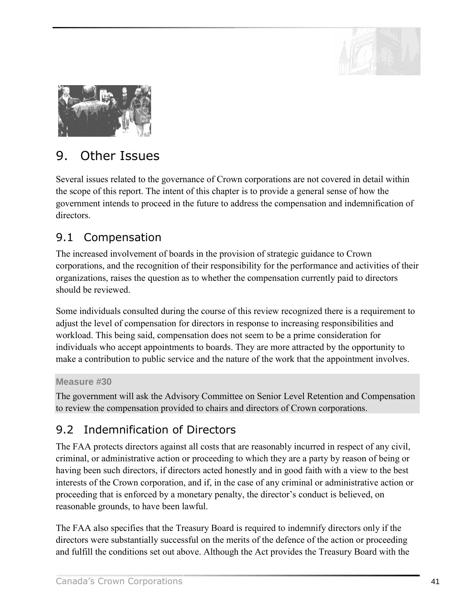

<span id="page-44-0"></span>

# 9. Other Issues

Several issues related to the governance of Crown corporations are not covered in detail within the scope of this report. The intent of this chapter is to provide a general sense of how the government intends to proceed in the future to address the compensation and indemnification of directors.

# 9.1 Compensation

The increased involvement of boards in the provision of strategic guidance to Crown corporations, and the recognition of their responsibility for the performance and activities of their organizations, raises the question as to whether the compensation currently paid to directors should be reviewed.

Some individuals consulted during the course of this review recognized there is a requirement to adjust the level of compensation for directors in response to increasing responsibilities and workload. This being said, compensation does not seem to be a prime consideration for individuals who accept appointments to boards. They are more attracted by the opportunity to make a contribution to public service and the nature of the work that the appointment involves.

# **Measure #30**

The government will ask the Advisory Committee on Senior Level Retention and Compensation to review the compensation provided to chairs and directors of Crown corporations.

# 9.2 Indemnification of Directors

The FAA protects directors against all costs that are reasonably incurred in respect of any civil, criminal, or administrative action or proceeding to which they are a party by reason of being or having been such directors, if directors acted honestly and in good faith with a view to the best interests of the Crown corporation, and if, in the case of any criminal or administrative action or proceeding that is enforced by a monetary penalty, the director's conduct is believed, on reasonable grounds, to have been lawful.

The FAA also specifies that the Treasury Board is required to indemnify directors only if the directors were substantially successful on the merits of the defence of the action or proceeding and fulfill the conditions set out above. Although the Act provides the Treasury Board with the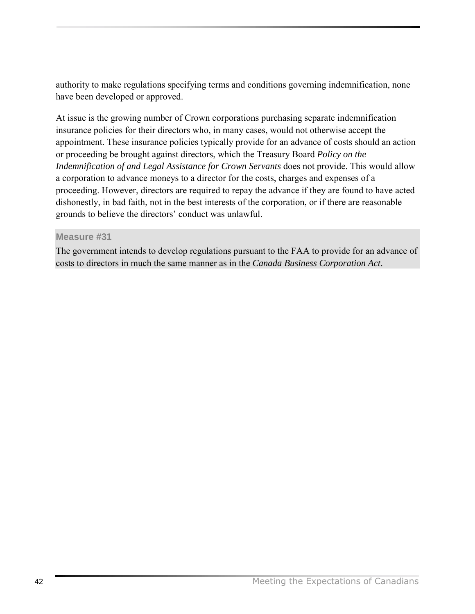authority to make regulations specifying terms and conditions governing indemnification, none have been developed or approved.

At issue is the growing number of Crown corporations purchasing separate indemnification insurance policies for their directors who, in many cases, would not otherwise accept the appointment. These insurance policies typically provide for an advance of costs should an action or proceeding be brought against directors, which the Treasury Board *Policy on the Indemnification of and Legal Assistance for Crown Servants* does not provide. This would allow a corporation to advance moneys to a director for the costs, charges and expenses of a proceeding. However, directors are required to repay the advance if they are found to have acted dishonestly, in bad faith, not in the best interests of the corporation, or if there are reasonable grounds to believe the directors' conduct was unlawful.

### **Measure #31**

The government intends to develop regulations pursuant to the FAA to provide for an advance of costs to directors in much the same manner as in the *Canada Business Corporation Act*.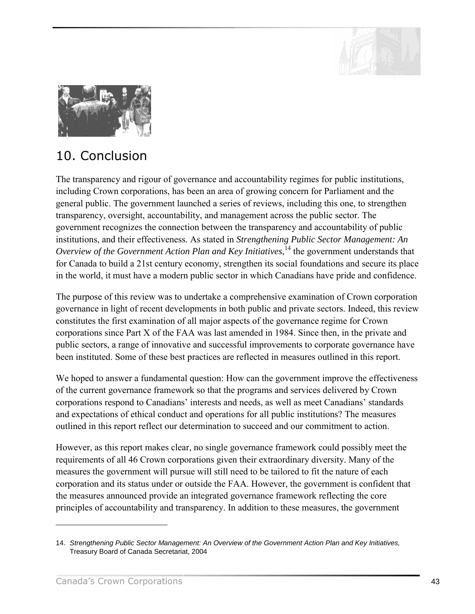

<span id="page-46-0"></span>

# 10. Conclusion

The transparency and rigour of governance and accountability regimes for public institutions, including Crown corporations, has been an area of growing concern for Parliament and the general public. The government launched a series of reviews, including this one, to strengthen transparency, oversight, accountability, and management across the public sector. The government recognizes the connection between the transparency and accountability of public institutions, and their effectiveness. As stated in *Strengthening Public Sector Management: An Overview of the Government Action Plan and Key Initiatives*, 14 the government understands that for Canada to build a 21st century economy, strengthen its social foundations and secure its place in the world, it must have a modern public sector in which Canadians have pride and confidence.

The purpose of this review was to undertake a comprehensive examination of Crown corporation governance in light of recent developments in both public and private sectors. Indeed, this review constitutes the first examination of all major aspects of the governance regime for Crown corporations since Part X of the FAA was last amended in 1984. Since then, in the private and public sectors, a range of innovative and successful improvements to corporate governance have been instituted. Some of these best practices are reflected in measures outlined in this report.

We hoped to answer a fundamental question: How can the government improve the effectiveness of the current governance framework so that the programs and services delivered by Crown corporations respond to Canadians' interests and needs, as well as meet Canadians' standards and expectations of ethical conduct and operations for all public institutions? The measures outlined in this report reflect our determination to succeed and our commitment to action.

However, as this report makes clear, no single governance framework could possibly meet the requirements of all 46 Crown corporations given their extraordinary diversity. Many of the measures the government will pursue will still need to be tailored to fit the nature of each corporation and its status under or outside the FAA. However, the government is confident that the measures announced provide an integrated governance framework reflecting the core principles of accountability and transparency. In addition to these measures, the government

<sup>14.</sup> *Strengthening Public Sector Management: An Overview of the Government Action Plan and Key Initiatives,* Treasury Board of Canada Secretariat, 2004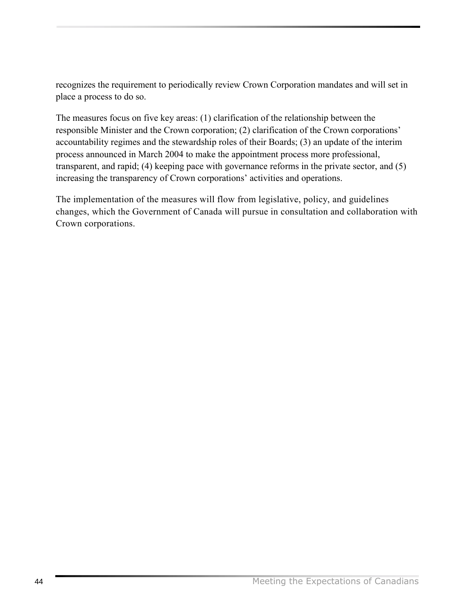recognizes the requirement to periodically review Crown Corporation mandates and will set in place a process to do so.

The measures focus on five key areas: (1) clarification of the relationship between the responsible Minister and the Crown corporation; (2) clarification of the Crown corporations<sup>7</sup> accountability regimes and the stewardship roles of their Boards; (3) an update of the interim process announced in March 2004 to make the appointment process more professional, transparent, and rapid; (4) keeping pace with governance reforms in the private sector, and (5) increasing the transparency of Crown corporations' activities and operations.

The implementation of the measures will flow from legislative, policy, and guidelines changes, which the Government of Canada will pursue in consultation and collaboration with Crown corporations.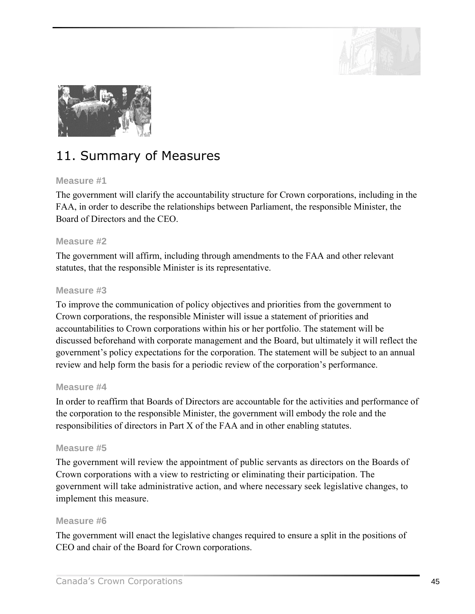

<span id="page-48-0"></span>

# 11. Summary of Measures

### **Measure #1**

The government will clarify the accountability structure for Crown corporations, including in the FAA, in order to describe the relationships between Parliament, the responsible Minister, the Board of Directors and the CEO.

### **Measure #2**

The government will affirm, including through amendments to the FAA and other relevant statutes, that the responsible Minister is its representative.

### **Measure #3**

To improve the communication of policy objectives and priorities from the government to Crown corporations, the responsible Minister will issue a statement of priorities and accountabilities to Crown corporations within his or her portfolio. The statement will be discussed beforehand with corporate management and the Board, but ultimately it will reflect the government's policy expectations for the corporation. The statement will be subject to an annual review and help form the basis for a periodic review of the corporation's performance.

#### **Measure #4**

In order to reaffirm that Boards of Directors are accountable for the activities and performance of the corporation to the responsible Minister, the government will embody the role and the responsibilities of directors in Part X of the FAA and in other enabling statutes.

### **Measure #5**

The government will review the appointment of public servants as directors on the Boards of Crown corporations with a view to restricting or eliminating their participation. The government will take administrative action, and where necessary seek legislative changes, to implement this measure.

#### **Measure #6**

The government will enact the legislative changes required to ensure a split in the positions of CEO and chair of the Board for Crown corporations.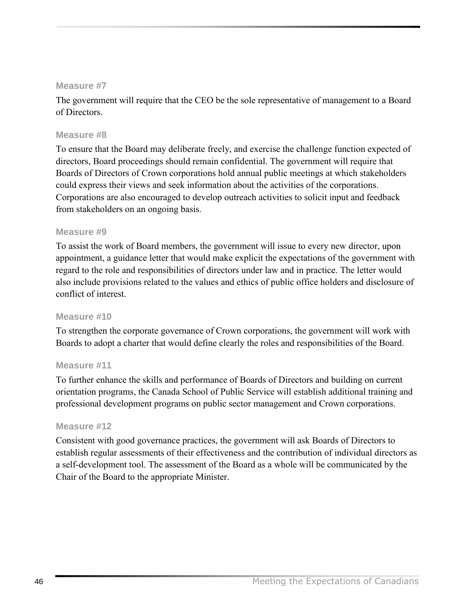The government will require that the CEO be the sole representative of management to a Board of Directors.

### **Measure #8**

To ensure that the Board may deliberate freely, and exercise the challenge function expected of directors, Board proceedings should remain confidential. The government will require that Boards of Directors of Crown corporations hold annual public meetings at which stakeholders could express their views and seek information about the activities of the corporations. Corporations are also encouraged to develop outreach activities to solicit input and feedback from stakeholders on an ongoing basis.

### **Measure #9**

To assist the work of Board members, the government will issue to every new director, upon appointment, a guidance letter that would make explicit the expectations of the government with regard to the role and responsibilities of directors under law and in practice. The letter would also include provisions related to the values and ethics of public office holders and disclosure of conflict of interest.

### **Measure #10**

To strengthen the corporate governance of Crown corporations, the government will work with Boards to adopt a charter that would define clearly the roles and responsibilities of the Board.

### **Measure #11**

To further enhance the skills and performance of Boards of Directors and building on current orientation programs, the Canada School of Public Service will establish additional training and professional development programs on public sector management and Crown corporations.

#### **Measure #12**

Consistent with good governance practices, the government will ask Boards of Directors to establish regular assessments of their effectiveness and the contribution of individual directors as a self-development tool. The assessment of the Board as a whole will be communicated by the Chair of the Board to the appropriate Minister.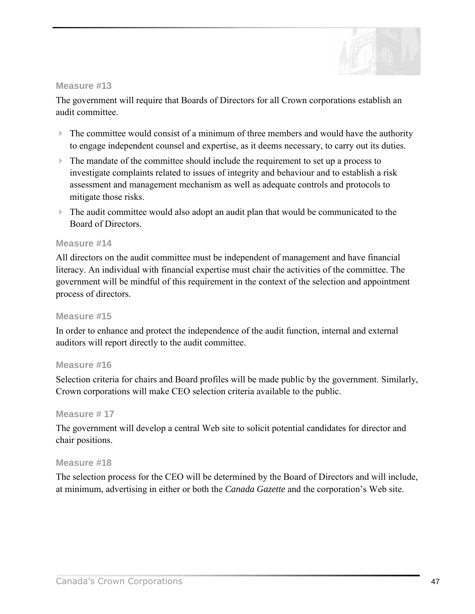

The government will require that Boards of Directors for all Crown corporations establish an audit committee.

- $\triangleright$  The committee would consist of a minimum of three members and would have the authority to engage independent counsel and expertise, as it deems necessary, to carry out its duties.
- $\triangleright$  The mandate of the committee should include the requirement to set up a process to investigate complaints related to issues of integrity and behaviour and to establish a risk assessment and management mechanism as well as adequate controls and protocols to mitigate those risks.
- ! The audit committee would also adopt an audit plan that would be communicated to the Board of Directors.

#### **Measure #14**

All directors on the audit committee must be independent of management and have financial literacy. An individual with financial expertise must chair the activities of the committee. The government will be mindful of this requirement in the context of the selection and appointment process of directors.

#### **Measure #15**

In order to enhance and protect the independence of the audit function, internal and external auditors will report directly to the audit committee.

#### **Measure #16**

Selection criteria for chairs and Board profiles will be made public by the government. Similarly, Crown corporations will make CEO selection criteria available to the public.

#### **Measure # 17**

The government will develop a central Web site to solicit potential candidates for director and chair positions.

#### **Measure #18**

The selection process for the CEO will be determined by the Board of Directors and will include, at minimum, advertising in either or both the *Canada Gazette* and the corporation's Web site.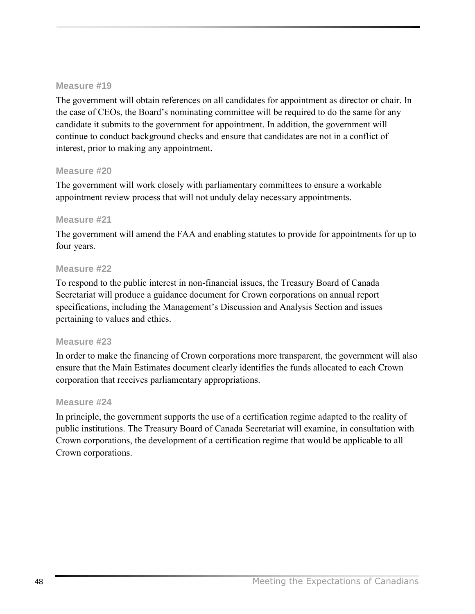The government will obtain references on all candidates for appointment as director or chair. In the case of CEOs, the Board's nominating committee will be required to do the same for any candidate it submits to the government for appointment. In addition, the government will continue to conduct background checks and ensure that candidates are not in a conflict of interest, prior to making any appointment.

#### **Measure #20**

The government will work closely with parliamentary committees to ensure a workable appointment review process that will not unduly delay necessary appointments.

### **Measure #21**

The government will amend the FAA and enabling statutes to provide for appointments for up to four years.

### **Measure #22**

To respond to the public interest in non-financial issues, the Treasury Board of Canada Secretariat will produce a guidance document for Crown corporations on annual report specifications, including the Management's Discussion and Analysis Section and issues pertaining to values and ethics.

### **Measure #23**

In order to make the financing of Crown corporations more transparent, the government will also ensure that the Main Estimates document clearly identifies the funds allocated to each Crown corporation that receives parliamentary appropriations.

#### **Measure #24**

In principle, the government supports the use of a certification regime adapted to the reality of public institutions. The Treasury Board of Canada Secretariat will examine, in consultation with Crown corporations, the development of a certification regime that would be applicable to all Crown corporations.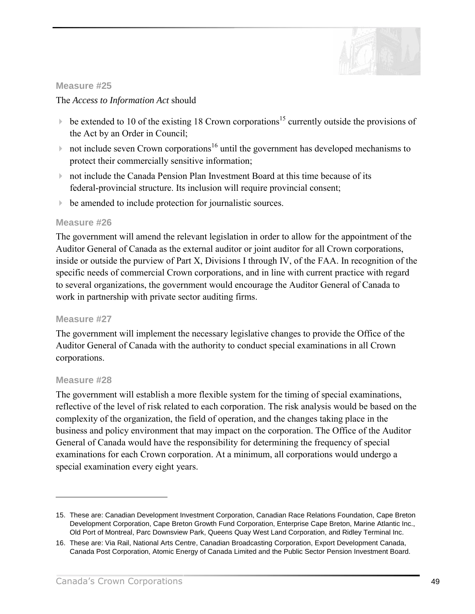

### The *Access to Information Act* should

- $\triangleright$  be extended to 10 of the existing 18 Crown corporations<sup>15</sup> currently outside the provisions of the Act by an Order in Council;
- $\triangleright$  not include seven Crown corporations<sup>16</sup> until the government has developed mechanisms to protect their commercially sensitive information;
- ! not include the Canada Pension Plan Investment Board at this time because of its federal-provincial structure. Its inclusion will require provincial consent;
- ! be amended to include protection for journalistic sources.

### **Measure #26**

The government will amend the relevant legislation in order to allow for the appointment of the Auditor General of Canada as the external auditor or joint auditor for all Crown corporations, inside or outside the purview of Part X, Divisions I through IV, of the FAA. In recognition of the specific needs of commercial Crown corporations, and in line with current practice with regard to several organizations, the government would encourage the Auditor General of Canada to work in partnership with private sector auditing firms.

### **Measure #27**

The government will implement the necessary legislative changes to provide the Office of the Auditor General of Canada with the authority to conduct special examinations in all Crown corporations.

### **Measure #28**

 $\overline{a}$ 

The government will establish a more flexible system for the timing of special examinations, reflective of the level of risk related to each corporation. The risk analysis would be based on the complexity of the organization, the field of operation, and the changes taking place in the business and policy environment that may impact on the corporation. The Office of the Auditor General of Canada would have the responsibility for determining the frequency of special examinations for each Crown corporation. At a minimum, all corporations would undergo a special examination every eight years.

<sup>15.</sup> These are: Canadian Development Investment Corporation, Canadian Race Relations Foundation, Cape Breton Development Corporation, Cape Breton Growth Fund Corporation, Enterprise Cape Breton, Marine Atlantic Inc., Old Port of Montreal, Parc Downsview Park, Queens Quay West Land Corporation, and Ridley Terminal Inc.

<sup>16.</sup> These are: Via Rail, National Arts Centre, Canadian Broadcasting Corporation, Export Development Canada, Canada Post Corporation, Atomic Energy of Canada Limited and the Public Sector Pension Investment Board.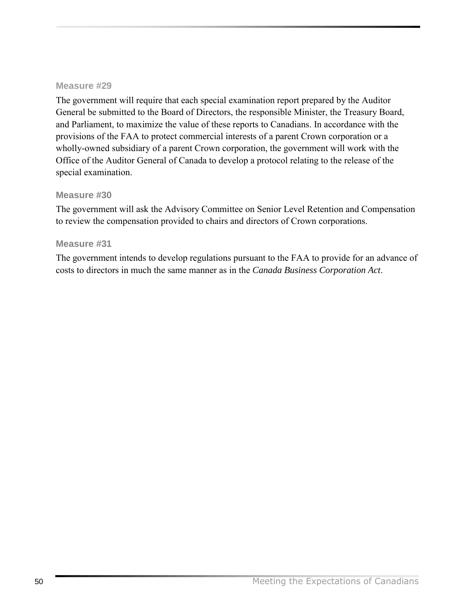The government will require that each special examination report prepared by the Auditor General be submitted to the Board of Directors, the responsible Minister, the Treasury Board, and Parliament, to maximize the value of these reports to Canadians. In accordance with the provisions of the FAA to protect commercial interests of a parent Crown corporation or a wholly-owned subsidiary of a parent Crown corporation, the government will work with the Office of the Auditor General of Canada to develop a protocol relating to the release of the special examination.

### **Measure #30**

The government will ask the Advisory Committee on Senior Level Retention and Compensation to review the compensation provided to chairs and directors of Crown corporations.

#### **Measure #31**

The government intends to develop regulations pursuant to the FAA to provide for an advance of costs to directors in much the same manner as in the *Canada Business Corporation Act*.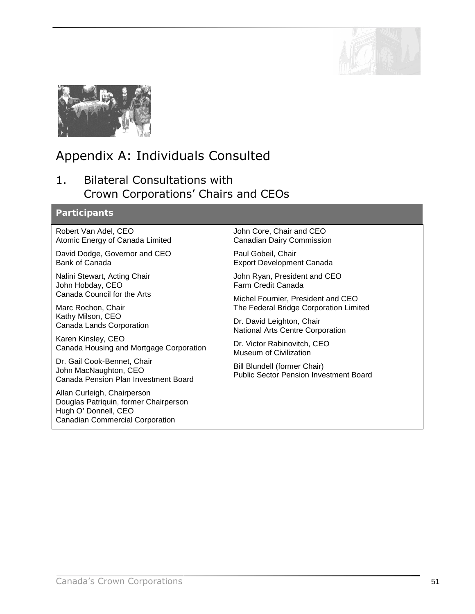

<span id="page-54-0"></span>

# Appendix A: Individuals Consulted

# 1. Bilateral Consultations with Crown Corporations' Chairs and CEOs

# **Participants**

Robert Van Adel, CEO Atomic Energy of Canada Limited

David Dodge, Governor and CEO Bank of Canada

Nalini Stewart, Acting Chair John Hobday, CEO Canada Council for the Arts

Marc Rochon, Chair Kathy Milson, CEO Canada Lands Corporation

Karen Kinsley, CEO Canada Housing and Mortgage Corporation

Dr. Gail Cook-Bennet, Chair John MacNaughton, CEO Canada Pension Plan Investment Board

Allan Curleigh, Chairperson Douglas Patriquin, former Chairperson Hugh O' Donnell, CEO Canadian Commercial Corporation

John Core, Chair and CEO Canadian Dairy Commission

Paul Gobeil, Chair Export Development Canada

John Ryan, President and CEO Farm Credit Canada

Michel Fournier, President and CEO The Federal Bridge Corporation Limited

Dr. David Leighton, Chair National Arts Centre Corporation

Dr. Victor Rabinovitch, CEO Museum of Civilization

Bill Blundell (former Chair) Public Sector Pension Investment Board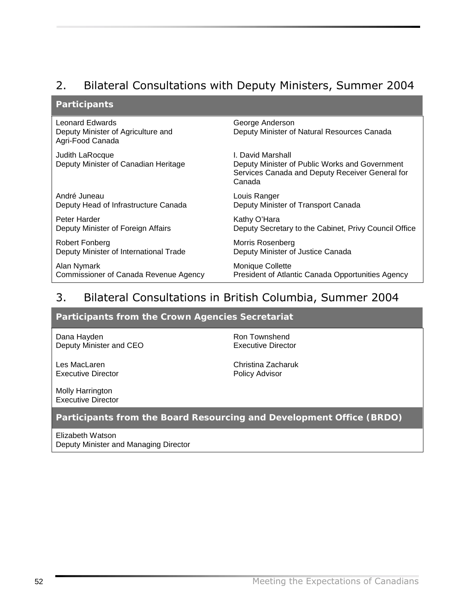# 2. Bilateral Consultations with Deputy Ministers, Summer 2004

### **Participants**

| <b>Leonard Edwards</b><br>Deputy Minister of Agriculture and<br>Agri-Food Canada | George Anderson<br>Deputy Minister of Natural Resources Canada                                                                   |
|----------------------------------------------------------------------------------|----------------------------------------------------------------------------------------------------------------------------------|
| Judith LaRocque<br>Deputy Minister of Canadian Heritage                          | I. David Marshall<br>Deputy Minister of Public Works and Government<br>Services Canada and Deputy Receiver General for<br>Canada |
| André Juneau                                                                     | Louis Ranger                                                                                                                     |
| Deputy Head of Infrastructure Canada                                             | Deputy Minister of Transport Canada                                                                                              |
| Peter Harder                                                                     | Kathy O'Hara                                                                                                                     |
| Deputy Minister of Foreign Affairs                                               | Deputy Secretary to the Cabinet, Privy Council Office                                                                            |
| Robert Fonberg                                                                   | Morris Rosenberg                                                                                                                 |
| Deputy Minister of International Trade                                           | Deputy Minister of Justice Canada                                                                                                |
| Alan Nymark                                                                      | <b>Monique Collette</b>                                                                                                          |
| Commissioner of Canada Revenue Agency                                            | President of Atlantic Canada Opportunities Agency                                                                                |

# 3. Bilateral Consultations in British Columbia, Summer 2004

### **Participants from the Crown Agencies Secretariat**

Dana Hayden Deputy Minister and CEO

Les MacLaren Executive Director Ron Townshend Executive Director

Christina Zacharuk Policy Advisor

Molly Harrington Executive Director

### **Participants from the Board Resourcing and Development Office (BRDO)**

Elizabeth Watson Deputy Minister and Managing Director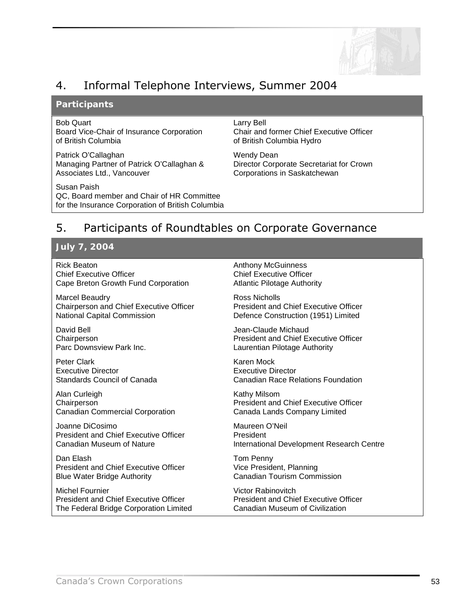

# 4. Informal Telephone Interviews, Summer 2004

#### **Participants**

#### Bob Quart

Board Vice-Chair of Insurance Corporation of British Columbia

Patrick O'Callaghan Managing Partner of Patrick O'Callaghan & Associates Ltd., Vancouver

Susan Paish QC, Board member and Chair of HR Committee for the Insurance Corporation of British Columbia Larry Bell Chair and former Chief Executive Officer of British Columbia Hydro

Wendy Dean Director Corporate Secretariat for Crown Corporations in Saskatchewan

# 5. Participants of Roundtables on Corporate Governance

#### **July 7, 2004**

Rick Beaton Chief Executive Officer Cape Breton Growth Fund Corporation

Marcel Beaudry Chairperson and Chief Executive Officer National Capital Commission

David Bell **Chairperson** Parc Downsview Park Inc.

Peter Clark Executive Director Standards Council of Canada

Alan Curleigh **Chairperson** Canadian Commercial Corporation

Joanne DiCosimo President and Chief Executive Officer Canadian Museum of Nature

Dan Elash President and Chief Executive Officer Blue Water Bridge Authority

Michel Fournier President and Chief Executive Officer The Federal Bridge Corporation Limited Anthony McGuinness Chief Executive Officer Atlantic Pilotage Authority

Ross Nicholls President and Chief Executive Officer Defence Construction (1951) Limited

Jean-Claude Michaud President and Chief Executive Officer Laurentian Pilotage Authority

Karen Mock Executive Director Canadian Race Relations Foundation

Kathy Milsom President and Chief Executive Officer Canada Lands Company Limited

Maureen O'Neil President International Development Research Centre

Tom Penny Vice President, Planning Canadian Tourism Commission

Victor Rabinovitch President and Chief Executive Officer Canadian Museum of Civilization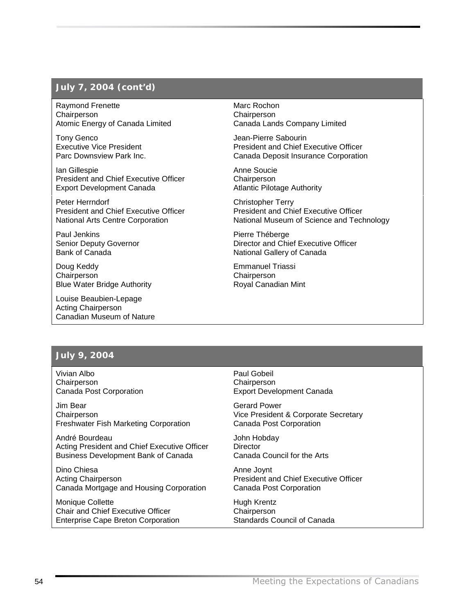### **July 7, 2004 (***cont'd***)**

Raymond Frenette **Chairperson** Atomic Energy of Canada Limited

Tony Genco Executive Vice President Parc Downsview Park Inc.

Ian Gillespie President and Chief Executive Officer Export Development Canada

Peter Herrndorf President and Chief Executive Officer National Arts Centre Corporation

Paul Jenkins Senior Deputy Governor Bank of Canada

Doug Keddy Chairperson Blue Water Bridge Authority

Louise Beaubien-Lepage Acting Chairperson Canadian Museum of Nature Marc Rochon **Chairperson** Canada Lands Company Limited

Jean-Pierre Sabourin President and Chief Executive Officer Canada Deposit Insurance Corporation

Anne Soucie **Chairperson** Atlantic Pilotage Authority

Christopher Terry President and Chief Executive Officer National Museum of Science and Technology

Pierre Théberge Director and Chief Executive Officer National Gallery of Canada

Emmanuel Triassi **Chairperson** Royal Canadian Mint

### **July 9, 2004**

Vivian Albo **Chairperson** Canada Post Corporation

Jim Bear **Chairperson** Freshwater Fish Marketing Corporation

André Bourdeau Acting President and Chief Executive Officer Business Development Bank of Canada

Dino Chiesa Acting Chairperson Canada Mortgage and Housing Corporation

Monique Collette Chair and Chief Executive Officer Enterprise Cape Breton Corporation Paul Gobeil Chairperson Export Development Canada

Gerard Power Vice President & Corporate Secretary Canada Post Corporation

John Hobday **Director** Canada Council for the Arts

Anne Joynt President and Chief Executive Officer Canada Post Corporation

Hugh Krentz **Chairperson** Standards Council of Canada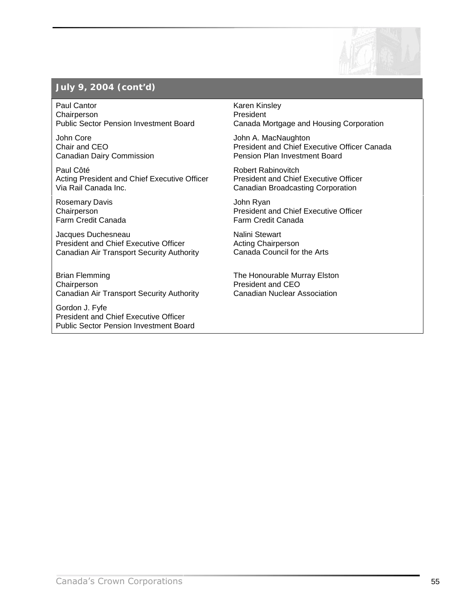

# **July 9, 2004 (***cont'd***)**

Paul Cantor **Chairperson** Public Sector Pension Investment Board

John Core Chair and CEO Canadian Dairy Commission

Paul Côté Acting President and Chief Executive Officer Via Rail Canada Inc.

Rosemary Davis **Chairperson** Farm Credit Canada

Jacques Duchesneau President and Chief Executive Officer Canadian Air Transport Security Authority

Brian Flemming **Chairperson** Canadian Air Transport Security Authority

Gordon J. Fyfe President and Chief Executive Officer Public Sector Pension Investment Board Karen Kinsley President Canada Mortgage and Housing Corporation

John A. MacNaughton President and Chief Executive Officer Canada Pension Plan Investment Board

Robert Rabinovitch President and Chief Executive Officer Canadian Broadcasting Corporation

John Ryan President and Chief Executive Officer Farm Credit Canada

Nalini Stewart Acting Chairperson Canada Council for the Arts

The Honourable Murray Elston President and CEO Canadian Nuclear Association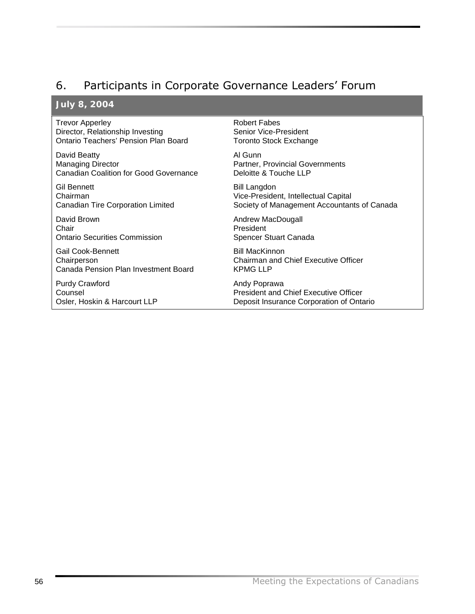# 6. Participants in Corporate Governance Leaders' Forum

### **July 8, 2004**

Trevor Apperley Director, Relationship Investing Ontario Teachers' Pension Plan Board

David Beatty Managing Director Canadian Coalition for Good Governance

Gil Bennett Chairman Canadian Tire Corporation Limited

David Brown Chair Ontario Securities Commission

Gail Cook-Bennett **Chairperson** Canada Pension Plan Investment Board

Purdy Crawford Counsel Osler, Hoskin & Harcourt LLP Robert Fabes Senior Vice-President Toronto Stock Exchange

Al Gunn Partner, Provincial Governments Deloitte & Touche LLP

Bill Langdon Vice-President, Intellectual Capital Society of Management Accountants of Canada

Andrew MacDougall President Spencer Stuart Canada

Bill MacKinnon Chairman and Chief Executive Officer KPMG LLP

Andy Poprawa President and Chief Executive Officer Deposit Insurance Corporation of Ontario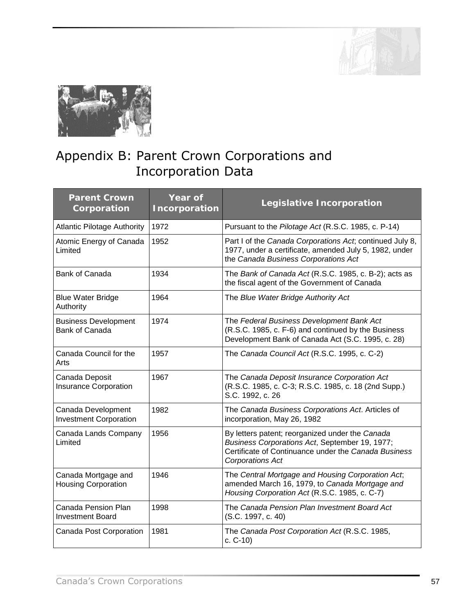

<span id="page-60-0"></span>

# Appendix B: Parent Crown Corporations and Incorporation Data

| <b>Parent Crown</b><br>Corporation                  | Year of<br>Incorporation | Legislative Incorporation                                                                                                                                                     |
|-----------------------------------------------------|--------------------------|-------------------------------------------------------------------------------------------------------------------------------------------------------------------------------|
| <b>Atlantic Pilotage Authority</b>                  | 1972                     | Pursuant to the Pilotage Act (R.S.C. 1985, c. P-14)                                                                                                                           |
| Atomic Energy of Canada<br>Limited                  | 1952                     | Part I of the Canada Corporations Act; continued July 8,<br>1977, under a certificate, amended July 5, 1982, under<br>the Canada Business Corporations Act                    |
| Bank of Canada                                      | 1934                     | The Bank of Canada Act (R.S.C. 1985, c. B-2); acts as<br>the fiscal agent of the Government of Canada                                                                         |
| <b>Blue Water Bridge</b><br>Authority               | 1964                     | The Blue Water Bridge Authority Act                                                                                                                                           |
| <b>Business Development</b><br>Bank of Canada       | 1974                     | The Federal Business Development Bank Act<br>(R.S.C. 1985, c. F-6) and continued by the Business<br>Development Bank of Canada Act (S.C. 1995, c. 28)                         |
| Canada Council for the<br>Arts                      | 1957                     | The Canada Council Act (R.S.C. 1995, c. C-2)                                                                                                                                  |
| Canada Deposit<br><b>Insurance Corporation</b>      | 1967                     | The Canada Deposit Insurance Corporation Act<br>(R.S.C. 1985, c. C-3; R.S.C. 1985, c. 18 (2nd Supp.)<br>S.C. 1992, c. 26                                                      |
| Canada Development<br><b>Investment Corporation</b> | 1982                     | The Canada Business Corporations Act. Articles of<br>incorporation, May 26, 1982                                                                                              |
| Canada Lands Company<br>Limited                     | 1956                     | By letters patent; reorganized under the Canada<br>Business Corporations Act, September 19, 1977;<br>Certificate of Continuance under the Canada Business<br>Corporations Act |
| Canada Mortgage and<br><b>Housing Corporation</b>   | 1946                     | The Central Mortgage and Housing Corporation Act;<br>amended March 16, 1979, to Canada Mortgage and<br>Housing Corporation Act (R.S.C. 1985, c. C-7)                          |
| Canada Pension Plan<br><b>Investment Board</b>      | 1998                     | The Canada Pension Plan Investment Board Act<br>(S.C. 1997, c. 40)                                                                                                            |
| Canada Post Corporation                             | 1981                     | The Canada Post Corporation Act (R.S.C. 1985,<br>$c. C-10$                                                                                                                    |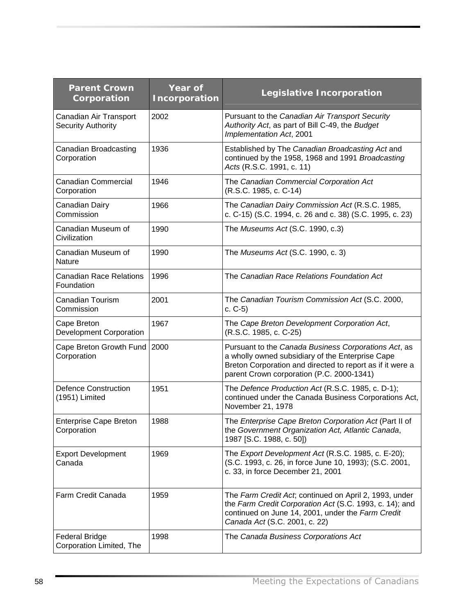| <b>Parent Crown</b><br>Corporation                  | Year of<br>Incorporation | Legislative Incorporation                                                                                                                                                                                          |
|-----------------------------------------------------|--------------------------|--------------------------------------------------------------------------------------------------------------------------------------------------------------------------------------------------------------------|
| Canadian Air Transport<br><b>Security Authority</b> | 2002                     | Pursuant to the Canadian Air Transport Security<br>Authority Act, as part of Bill C-49, the Budget<br>Implementation Act, 2001                                                                                     |
| Canadian Broadcasting<br>Corporation                | 1936                     | Established by The Canadian Broadcasting Act and<br>continued by the 1958, 1968 and 1991 Broadcasting<br>Acts (R.S.C. 1991, c. 11)                                                                                 |
| <b>Canadian Commercial</b><br>Corporation           | 1946                     | The Canadian Commercial Corporation Act<br>(R.S.C. 1985, c. C-14)                                                                                                                                                  |
| Canadian Dairy<br>Commission                        | 1966                     | The Canadian Dairy Commission Act (R.S.C. 1985,<br>c. C-15) (S.C. 1994, c. 26 and c. 38) (S.C. 1995, c. 23)                                                                                                        |
| Canadian Museum of<br>Civilization                  | 1990                     | The Museums Act (S.C. 1990, c.3)                                                                                                                                                                                   |
| Canadian Museum of<br>Nature                        | 1990                     | The Museums Act (S.C. 1990, c. 3)                                                                                                                                                                                  |
| <b>Canadian Race Relations</b><br>Foundation        | 1996                     | The Canadian Race Relations Foundation Act                                                                                                                                                                         |
| Canadian Tourism<br>Commission                      | 2001                     | The Canadian Tourism Commission Act (S.C. 2000,<br>$c. C-5$                                                                                                                                                        |
| Cape Breton<br>Development Corporation              | 1967                     | The Cape Breton Development Corporation Act,<br>(R.S.C. 1985, c. C-25)                                                                                                                                             |
| Cape Breton Growth Fund<br>Corporation              | 2000                     | Pursuant to the Canada Business Corporations Act, as<br>a wholly owned subsidiary of the Enterprise Cape<br>Breton Corporation and directed to report as if it were a<br>parent Crown corporation (P.C. 2000-1341) |
| <b>Defence Construction</b><br>(1951) Limited       | 1951                     | The Defence Production Act (R.S.C. 1985, c. D-1);<br>continued under the Canada Business Corporations Act,<br>November 21, 1978                                                                                    |
| <b>Enterprise Cape Breton</b><br>Corporation        | 1988                     | The Enterprise Cape Breton Corporation Act (Part II of<br>the Government Organization Act, Atlantic Canada,<br>1987 [S.C. 1988, c. 50])                                                                            |
| <b>Export Development</b><br>Canada                 | 1969                     | The Export Development Act (R.S.C. 1985, c. E-20);<br>(S.C. 1993, c. 26, in force June 10, 1993); (S.C. 2001,<br>c. 33, in force December 21, 2001                                                                 |
| Farm Credit Canada                                  | 1959                     | The Farm Credit Act, continued on April 2, 1993, under<br>the Farm Credit Corporation Act (S.C. 1993, c. 14); and<br>continued on June 14, 2001, under the Farm Credit<br>Canada Act (S.C. 2001, c. 22)            |
| <b>Federal Bridge</b><br>Corporation Limited, The   | 1998                     | The Canada Business Corporations Act                                                                                                                                                                               |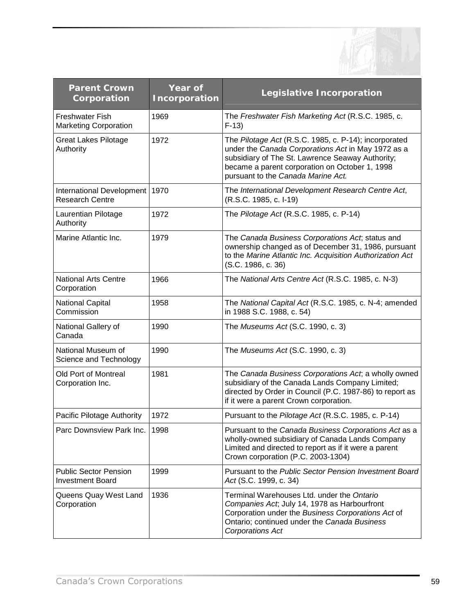

| <b>Parent Crown</b><br>Corporation                         | Year of<br>Incorporation | Legislative Incorporation                                                                                                                                                                                                                               |
|------------------------------------------------------------|--------------------------|---------------------------------------------------------------------------------------------------------------------------------------------------------------------------------------------------------------------------------------------------------|
| <b>Freshwater Fish</b><br><b>Marketing Corporation</b>     | 1969                     | The Freshwater Fish Marketing Act (R.S.C. 1985, c.<br>$F-13$                                                                                                                                                                                            |
| <b>Great Lakes Pilotage</b><br>Authority                   | 1972                     | The Pilotage Act (R.S.C. 1985, c. P-14); incorporated<br>under the Canada Corporations Act in May 1972 as a<br>subsidiary of The St. Lawrence Seaway Authority;<br>became a parent corporation on October 1, 1998<br>pursuant to the Canada Marine Act. |
| International Development   1970<br><b>Research Centre</b> |                          | The International Development Research Centre Act,<br>(R.S.C. 1985, c. I-19)                                                                                                                                                                            |
| Laurentian Pilotage<br>Authority                           | 1972                     | The Pilotage Act (R.S.C. 1985, c. P-14)                                                                                                                                                                                                                 |
| Marine Atlantic Inc.                                       | 1979                     | The Canada Business Corporations Act, status and<br>ownership changed as of December 31, 1986, pursuant<br>to the Marine Atlantic Inc. Acquisition Authorization Act<br>(S.C. 1986, c. 36)                                                              |
| <b>National Arts Centre</b><br>Corporation                 | 1966                     | The National Arts Centre Act (R.S.C. 1985, c. N-3)                                                                                                                                                                                                      |
| <b>National Capital</b><br>Commission                      | 1958                     | The National Capital Act (R.S.C. 1985, c. N-4; amended<br>in 1988 S.C. 1988, c. 54)                                                                                                                                                                     |
| National Gallery of<br>Canada                              | 1990                     | The Museums Act (S.C. 1990, c. 3)                                                                                                                                                                                                                       |
| National Museum of<br>Science and Technology               | 1990                     | The Museums Act (S.C. 1990, c. 3)                                                                                                                                                                                                                       |
| Old Port of Montreal<br>Corporation Inc.                   | 1981                     | The Canada Business Corporations Act; a wholly owned<br>subsidiary of the Canada Lands Company Limited;<br>directed by Order in Council (P.C. 1987-86) to report as<br>if it were a parent Crown corporation.                                           |
| Pacific Pilotage Authority                                 | 1972                     | Pursuant to the Pilotage Act (R.S.C. 1985, c. P-14)                                                                                                                                                                                                     |
| Parc Downsview Park Inc.   1998                            |                          | Pursuant to the Canada Business Corporations Act as a<br>wholly-owned subsidiary of Canada Lands Company<br>Limited and directed to report as if it were a parent<br>Crown corporation (P.C. 2003-1304)                                                 |
| <b>Public Sector Pension</b><br><b>Investment Board</b>    | 1999                     | Pursuant to the Public Sector Pension Investment Board<br>Act (S.C. 1999, c. 34)                                                                                                                                                                        |
| Queens Quay West Land<br>Corporation                       | 1936                     | Terminal Warehouses Ltd. under the Ontario<br>Companies Act, July 14, 1978 as Harbourfront<br>Corporation under the Business Corporations Act of<br>Ontario; continued under the Canada Business<br>Corporations Act                                    |